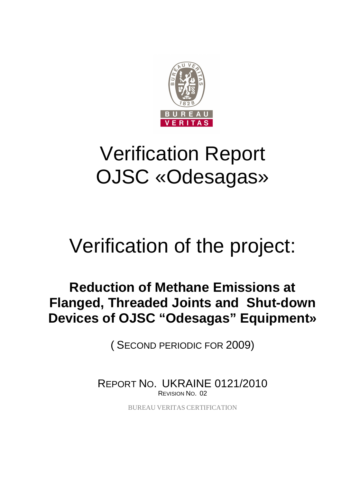

# Verification Report OJSC «Odesagas»

# Verification of the project:

# **Reduction of Methane Emissions at Flanged, Threaded Joints and Shut-down Devices of OJSC "Odesagas" Equipment»**

( SECOND PERIODIC FOR 2009)

REPORT NO. UKRAINE 0121/2010 REVISION NO. 02

BUREAU VERITAS CERTIFICATION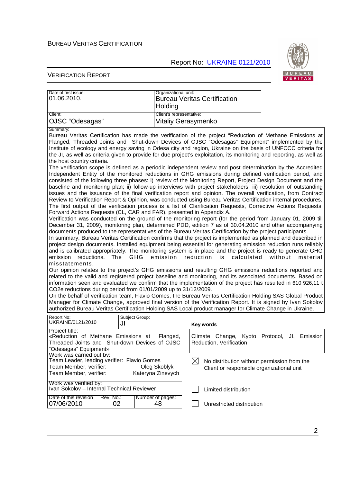Report No: UKRAINE 0121/2010



| Date of first issue:<br>01.06.2010.                                  |                                                   | Organizational unit:     | <b>Bureau Veritas Certification</b>                                                                                                                                                                                     |                     |  |
|----------------------------------------------------------------------|---------------------------------------------------|--------------------------|-------------------------------------------------------------------------------------------------------------------------------------------------------------------------------------------------------------------------|---------------------|--|
|                                                                      |                                                   | Holding                  |                                                                                                                                                                                                                         |                     |  |
| Client:                                                              |                                                   | Client's representative: |                                                                                                                                                                                                                         |                     |  |
| OJSC "Odesagas"                                                      |                                                   |                          | <b>Vitaliy Gerasymenko</b>                                                                                                                                                                                              |                     |  |
| Summary:                                                             |                                                   |                          |                                                                                                                                                                                                                         |                     |  |
|                                                                      |                                                   |                          | Bureau Veritas Certification has made the verification of the project "Reduction of Methane Emissions at<br>Flanged, Threaded Joints and Shut-down Devices of OJSC "Odesagas" Equipment" implemented by the             |                     |  |
|                                                                      |                                                   |                          | Institute of ecology and energy saving in Odesa city and region, Ukraine on the basis of UNFCCC criteria for                                                                                                            |                     |  |
|                                                                      |                                                   |                          | the JI, as well as criteria given to provide for due project's exploitation, its monitoring and reporting, as well as                                                                                                   |                     |  |
| the host country criteria.                                           |                                                   |                          |                                                                                                                                                                                                                         |                     |  |
|                                                                      |                                                   |                          | The verification scope is defined as a periodic independent review and post determination by the Accredited<br>Independent Entity of the monitored reductions in GHG emissions during defined verification period, and  |                     |  |
|                                                                      |                                                   |                          | consisted of the following three phases: i) review of the Monitoring Report, Project Design Document and the                                                                                                            |                     |  |
|                                                                      |                                                   |                          | baseline and monitoring plan; ii) follow-up interviews with project stakeholders; iii) resolution of outstanding                                                                                                        |                     |  |
|                                                                      |                                                   |                          | issues and the issuance of the final verification report and opinion. The overall verification, from Contract                                                                                                           |                     |  |
|                                                                      |                                                   |                          | Review to Verification Report & Opinion, was conducted using Bureau Veritas Certification internal procedures.                                                                                                          |                     |  |
|                                                                      |                                                   |                          | The first output of the verification process is a list of Clarification Requests, Corrective Actions Requests,                                                                                                          |                     |  |
| Forward Actions Requests (CL, CAR and FAR), presented in Appendix A. |                                                   |                          | Verification was conducted on the ground of the monitoring report (for the period from January 01, 2009 till                                                                                                            |                     |  |
|                                                                      |                                                   |                          | December 31, 2009), monitoring plan, determined PDD, edition 7 as of 30.04.2010 and other accompanying                                                                                                                  |                     |  |
|                                                                      |                                                   |                          | documents produced to the representatives of the Bureau Veritas Certification by the project participants.                                                                                                              |                     |  |
|                                                                      |                                                   |                          | In summary, Bureau Veritas Certification confirms that the project is implemented as planned and described in                                                                                                           |                     |  |
|                                                                      |                                                   |                          | project design documents. Installed equipment being essential for generating emission reduction runs reliably                                                                                                           |                     |  |
|                                                                      |                                                   |                          | and is calibrated appropriately. The monitoring system is in place and the project is ready to generate GHG                                                                                                             |                     |  |
| emission reductions.<br>misstatements.                               | The GHG                                           | emission                 | reduction<br>calculated<br>is                                                                                                                                                                                           | without<br>material |  |
|                                                                      |                                                   |                          | Our opinion relates to the project's GHG emissions and resulting GHG emissions reductions reported and                                                                                                                  |                     |  |
|                                                                      |                                                   |                          | related to the valid and registered project baseline and monitoring, and its associated documents. Based on                                                                                                             |                     |  |
|                                                                      |                                                   |                          | information seen and evaluated we confirm that the implementation of the project has resulted in 610 926,11 t                                                                                                           |                     |  |
| CO2e reductions during period from 01/01/2009 up to 31/12/2009.      |                                                   |                          |                                                                                                                                                                                                                         |                     |  |
|                                                                      |                                                   |                          | On the behalf of verification team, Flavio Gomes, the Bureau Veritas Certification Holding SAS Global Product                                                                                                           |                     |  |
|                                                                      |                                                   |                          | Manager for Climate Change, approved final version of the Verification Report. It is signed by Ivan Sokolov<br>authorized Bureau Veritas Certification Holding SAS Local product manager for Climate Change in Ukraine. |                     |  |
| Report No:                                                           |                                                   |                          |                                                                                                                                                                                                                         |                     |  |
| UKRAINE/0121/2010                                                    | Subject Group:<br>JI                              |                          | Key words                                                                                                                                                                                                               |                     |  |
| Project title:                                                       |                                                   |                          |                                                                                                                                                                                                                         |                     |  |
| «Reduction of Methane Emissions at                                   |                                                   | Flanged,                 | Climate Change, Kyoto Protocol, JI, Emission                                                                                                                                                                            |                     |  |
| Threaded Joints and Shut-down Devices of OJSC                        |                                                   |                          | Reduction, Verification                                                                                                                                                                                                 |                     |  |
|                                                                      | "Odesagas" Equipment»<br>Work was carried out by: |                          |                                                                                                                                                                                                                         |                     |  |
| Team Leader, leading verifier: Flavio Gomes                          |                                                   |                          | $\boxtimes$<br>No distribution without permission from the                                                                                                                                                              |                     |  |
| Team Member, verifier:                                               |                                                   | Oleg Skoblyk             | Client or responsible organizational unit                                                                                                                                                                               |                     |  |
|                                                                      | Team Member, verifier:<br>Kateryna Zinevych       |                          |                                                                                                                                                                                                                         |                     |  |
|                                                                      | Work was verified by:                             |                          |                                                                                                                                                                                                                         |                     |  |
| Ivan Sokolov - Internal Technical Reviewer                           |                                                   |                          | Limited distribution                                                                                                                                                                                                    |                     |  |
| Date of this revision                                                | Rev. No.:                                         | Number of pages:         |                                                                                                                                                                                                                         |                     |  |
| 07/06/2010                                                           | 02                                                | 48                       | Unrestricted distribution                                                                                                                                                                                               |                     |  |
|                                                                      |                                                   |                          |                                                                                                                                                                                                                         |                     |  |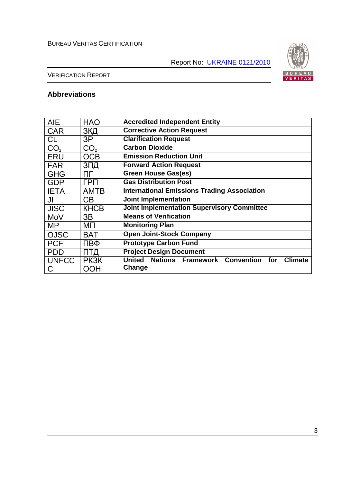Report No: UKRAINE 0121/2010



VERIFICATION REPORT

# **Abbreviations**

| <b>AIE</b>      | <b>HAO</b>      | <b>Accredited Independent Entity</b>                                   |  |  |
|-----------------|-----------------|------------------------------------------------------------------------|--|--|
| <b>CAR</b>      | ЗКД             | <b>Corrective Action Request</b>                                       |  |  |
| <b>CL</b>       | 3P              | <b>Clarification Request</b>                                           |  |  |
| CO <sub>2</sub> | CO <sub>2</sub> | <b>Carbon Dioxide</b>                                                  |  |  |
| <b>ERU</b>      | <b>OCB</b>      | <b>Emission Reduction Unit</b>                                         |  |  |
| <b>FAR</b>      | ЗПД             | <b>Forward Action Request</b>                                          |  |  |
| <b>GHG</b>      | ΠГ              | <b>Green House Gas(es)</b>                                             |  |  |
| <b>GDP</b>      | <b>TPN</b>      | <b>Gas Distribution Post</b>                                           |  |  |
| <b>IETA</b>     | <b>AMTB</b>     | <b>International Emissions Trading Association</b>                     |  |  |
| JI              | CB              | <b>Joint Implementation</b>                                            |  |  |
| <b>JISC</b>     | <b>KHCB</b>     | <b>Joint Implementation Supervisory Committee</b>                      |  |  |
| MoV             | 3B              | <b>Means of Verification</b>                                           |  |  |
| MP              | ΜП              | <b>Monitoring Plan</b>                                                 |  |  |
| <b>OJSC</b>     | <b>BAT</b>      | <b>Open Joint-Stock Company</b>                                        |  |  |
| <b>PCF</b>      | ПВФ             | <b>Prototype Carbon Fund</b>                                           |  |  |
| <b>PDD</b>      | ПТД             | <b>Project Design Document</b>                                         |  |  |
| <b>UNFCC</b>    | <b>PK3K</b>     | <b>Nations Framework Convention</b><br>United<br>for<br><b>Climate</b> |  |  |
| С               | <b>OOH</b>      | Change                                                                 |  |  |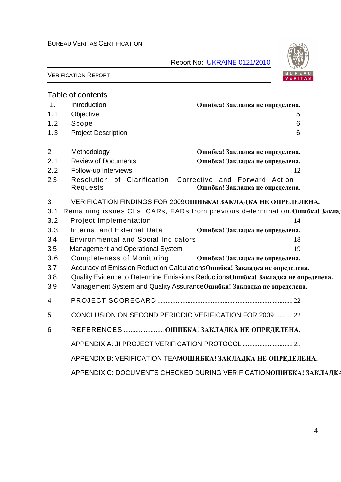Report No: UKRAINE 0121/2010



|                       | Table of contents                          |                                                                                               |
|-----------------------|--------------------------------------------|-----------------------------------------------------------------------------------------------|
| 1 <sub>1</sub>        | Introduction                               | Ошибка! Закладка не определена.                                                               |
| 1.1                   | Objective                                  | 5                                                                                             |
| 1.2                   | Scope                                      | 6                                                                                             |
| 1.3                   | <b>Project Description</b>                 | 6                                                                                             |
|                       |                                            |                                                                                               |
| $\overline{2}$<br>2.1 | Methodology<br><b>Review of Documents</b>  | Ошибка! Закладка не определена.                                                               |
|                       |                                            | Ошибка! Закладка не определена.                                                               |
| 2.2                   | Follow-up Interviews                       | 12                                                                                            |
| 2.3                   | Requests                                   | Resolution of Clarification, Corrective and Forward Action<br>Ошибка! Закладка не определена. |
| 3                     |                                            | VERIFICATION FINDINGS FOR 2009ОШИБКА! ЗАКЛАДКА НЕ ОПРЕДЕЛЕНА.                                 |
| 3.1                   |                                            | Remaining issues CLs, CARs, FARs from previous determination. Ошибка! Заклад                  |
| 3.2                   | <b>Project Implementation</b>              | 14                                                                                            |
| 3.3                   | Internal and External Data                 | Ошибка! Закладка не определена.                                                               |
| 3.4                   | <b>Environmental and Social Indicators</b> | 18                                                                                            |
| 3.5                   | Management and Operational System          | 19                                                                                            |
| 3.6                   |                                            | Completeness of Monitoring Ошибка! Закладка не определена.                                    |
| 3.7                   |                                            | Accuracy of Emission Reduction CalculationsОшибка! Закладка не определена.                    |
| 3.8                   |                                            | Quality Evidence to Determine Emissions ReductionsОшибка! Закладка не определена.             |
| 3.9                   |                                            | Management System and Quality AssuranceОшибка! Закладка не определена.                        |
| $\overline{4}$        |                                            |                                                                                               |
| 5                     |                                            | CONCLUSION ON SECOND PERIODIC VERIFICATION FOR 200922                                         |
| 6                     |                                            | REFERENCES  ОШИБКА! ЗАКЛАДКА НЕ ОПРЕДЕЛЕНА.                                                   |
|                       |                                            |                                                                                               |
|                       |                                            | APPENDIX B: VERIFICATION ТЕАМОШИБКА! ЗАКЛАДКА НЕ ОПРЕДЕЛЕНА.                                  |
|                       |                                            | APPENDIX C: DOCUMENTS CHECKED DURING VERIFICATIONОШИБКА! ЗАКЛАДКА                             |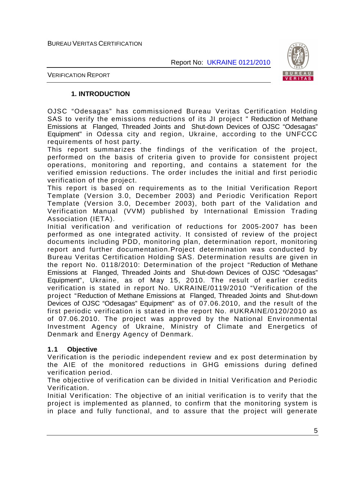

VERIFICATION REPORT

# **1. INTRODUCTION**

OJSC "Odesagas" has commissioned Bureau Veritas Certification Holding SAS to verify the emissions reductions of its JI project " Reduction of Methane Emissions at Flanged, Threaded Joints and Shut-down Devices of OJSC "Odesagas" Equipment" in Odessa city and region, Ukraine, according to the UNFCCC requirements of host party.

This report summarizes the findings of the verification of the project, performed on the basis of criteria given to provide for consistent project operations, monitoring and reporting, and contains a statement for the verified emission reductions. The order includes the initial and first periodic verification of the project.

This report is based on requirements as to the Initial Verification Report Template (Version 3.0, December 2003) and Periodic Verification Report Template (Version 3.0, December 2003), both part of the Validation and Verification Manual (VVM) published by International Emission Trading Association (IETA).

Initial verification and verification of reductions for 2005-2007 has been performed as one integrated activity. It consisted of review of the project documents including PDD, monitoring plan, determination report, monitoring report and further documentation.Project determination was conducted by Bureau Veritas Certification Holding SAS. Determination results are given in the report No. 0118/2010: Determination of the project "Reduction of Methane Emissions at Flanged, Threaded Joints and Shut-down Devices of OJSC "Odesagas" Equipment", Ukraine, as of May 15, 2010. The result of earlier credits verification is stated in report No. UKRAINE/0119/2010 "Verification of the project "Reduction of Methane Emissions at Flanged, Threaded Joints and Shut-down Devices of OJSC "Odesagas" Equipment" as of 07.06.2010, and the result of the first periodic verification is stated in the report No. #UKRAINE/0120/2010 as of 07.06.2010. The project was approved by the National Environmental Investment Agency of Ukraine, Ministry of Climate and Energetics of Denmark and Energy Agency of Denmark.

#### **1.1 Objective**

Verification is the periodic independent review and ex post determination by the AIE of the monitored reductions in GHG emissions during defined verification period.

The objective of verification can be divided in Initial Verification and Periodic Verification.

Initial Verification: The objective of an initial verification is to verify that the project is implemented as planned, to confirm that the monitoring system is in place and fully functional, and to assure that the project will generate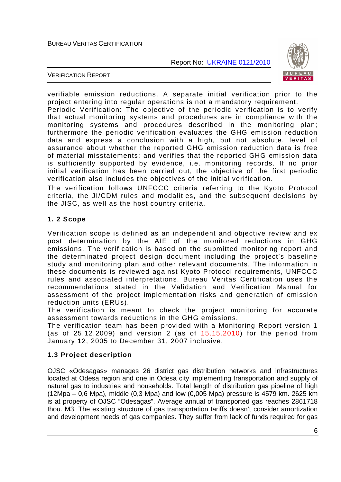

#### VERIFICATION REPORT

verifiable emission reductions. A separate initial verification prior to the project entering into regular operations is not a mandatory requirement.

Periodic Verification: The objective of the periodic verification is to verify that actual monitoring systems and procedures are in compliance with the monitoring systems and procedures described in the monitoring plan; furthermore the periodic verification evaluates the GHG emission reduction data and express a conclusion with a high, but not absolute, level of assurance about whether the reported GHG emission reduction data is free of material misstatements; and verifies that the reported GHG emission data is sufficiently supported by evidence, i.e. monitoring records. If no prior initial verification has been carried out, the objective of the first periodic verification also includes the objectives of the initial verification.

The verification follows UNFCCC criteria referring to the Kyoto Protocol criteria, the JI/CDM rules and modalities, and the subsequent decisions by the JISC, as well as the host country criteria.

#### **1. 2 Scope**

Verification scope is defined as an independent and objective review and ex post determination by the AIE of the monitored reductions in GHG emissions. The verification is based on the submitted monitoring report and the determinated project design document including the project's baseline study and monitoring plan and other relevant documents. The information in these documents is reviewed against Kyoto Protocol requirements, UNFCCC rules and associated interpretations. Bureau Veritas Certification uses the recommendations stated in the Validation and Verification Manual for assessment of the project implementation risks and generation of emission reduction units (ERUs).

The verification is meant to check the project monitoring for accurate assessment towards reductions in the GHG emissions.

The verification team has been provided with a Monitoring Report version 1 (as of 25.12.2009) and version 2 (as of 15.15.2010) for the period from January 12, 2005 to December 31, 2007 inclusive.

#### **1.3 Project description**

OJSC «Odesagas» manages 26 district gas distribution networks and infrastructures located at Odesa region and one in Odesa city implementing transportation and supply of natural gas to industries and households. Total length of distribution gas pipeline of high (12Mpa – 0,6 Mpa), middle (0,3 Mpa) and low (0,005 Mpa) pressure is 4579 km. 2625 km is at property of OJSC "Odesagas". Average annual of transported gas reaches 2861718 thou. M3. The existing structure of gas transportation tariffs doesn't consider amortization and development needs of gas companies. They suffer from lack of funds required for gas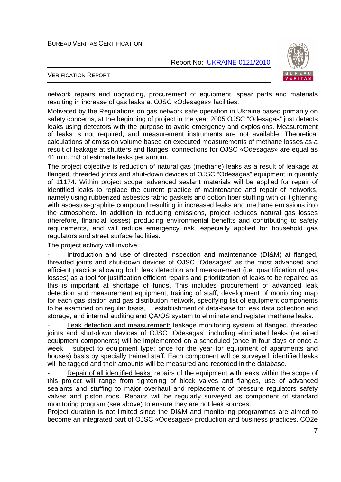Report No: UKRAINE 0121/2010

#### VERIFICATION REPORT



network repairs and upgrading, procurement of equipment, spear parts and materials resulting in increase of gas leaks at OJSC «Odesagas» facilities.

Motivated by the Regulations on gas network safe operation in Ukraine based primarily on safety concerns, at the beginning of project in the year 2005 OJSC "Odesagas" just detects leaks using detectors with the purpose to avoid emergency and explosions. Measurement of leaks is not required, and measurement instruments are not available. Theoretical calculations of emission volume based on executed measurements of methane losses as a result of leakage at shutters and flanges' connections for OJSC «Odesagas» are equal as 41 mln. m3 of estimate leaks per annum.

The project objective is reduction of natural gas (methane) leaks as a result of leakage at flanged, threaded joints and shut-down devices of OJSC "Odesagas" equipment in quantity of 11174. Within project scope, advanced sealant materials will be applied for repair of identified leaks to replace the current practice of maintenance and repair of networks, namely using rubberized asbestos fabric gaskets and cotton fiber stuffing with oil tightening with asbestos-graphite compound resulting in increased leaks and methane emissions into the atmosphere. In addition to reducing emissions, project reduces natural gas losses (therefore, financial losses) producing environmental benefits and contributing to safety requirements, and will reduce emergency risk, especially applied for household gas regulators and street surface facilities.

The project activity will involve:

Introduction and use of directed inspection and maintenance (DI&M) at flanged, threaded joints and shut-down devices of OJSC "Odesagas" as the most advanced and efficient practice allowing both leak detection and measurement (i.e. quantification of gas losses) as a tool for justification efficient repairs and prioritization of leaks to be repaired as this is important at shortage of funds. This includes procurement of advanced leak detection and measurement equipment, training of staff, development of monitoring map for each gas station and gas distribution network, specifying list of equipment components to be examined on regular basis, , establishment of data-base for leak data collection and storage, and internal auditing and QA/QS system to eliminate and register methane leaks.

Leak detection and measurement: leakage monitoring system at flanged, threaded joints and shut-down devices of OJSC "Odesagas" including eliminated leaks (repaired equipment components) will be implemented on a scheduled (once in four days or once a week – subject to equipment type; once for the year for equipment of apartments and houses) basis by specially trained staff. Each component will be surveyed, identified leaks will be tagged and their amounts will be measured and recorded in the database.

Repair of all identified leaks: repairs of the equipment with leaks within the scope of this project will range from tightening of block valves and flanges, use of advanced sealants and stuffing to major overhaul and replacement of pressure regulators safety valves and piston rods. Repairs will be regularly surveyed as component of standard monitoring program (see above) to ensure they are not leak sources.

Project duration is not limited since the DI&M and monitoring programmes are aimed to become an integrated part of OJSC «Odesagas» production and business practices. CO2e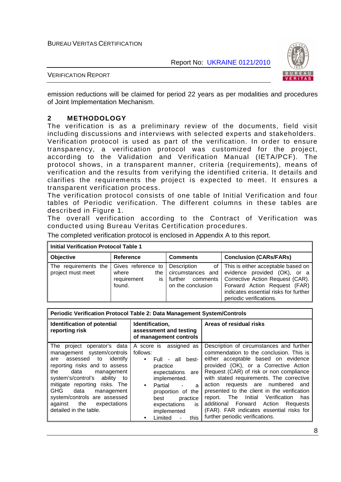

VERIFICATION REPORT

emission reductions will be claimed for period 22 years as per modalities and procedures of Joint Implementation Mechanism.

#### **2 METHODOLOGY**

The verification is as a preliminary review of the documents, field visit including discussions and interviews with selected experts and stakeholders. Verification protocol is used as part of the verification. In order to ensure transparency, a verification protocol was customized for the project, according to the Validation and Verification Manual (IETA/PCF). The protocol shows, in a transparent manner, criteria (requirements), means of verification and the results from verifying the identified criteria. It details and clarifies the requirements the project is expected to meet. It ensures a transparent verification process.

The verification protocol consists of one table of Initial Verification and four tables of Periodic verification. The different columns in these tables are described in Figure 1.

The overall verification according to the Contract of Verification was conducted using Bureau Veritas Certification procedures.

The completed verification protocol is enclosed in Appendix A to this report.

| <b>Initial Verification Protocol Table 1</b> |                                                                    |                                                                              |                                                                                                                                                                                                                 |  |
|----------------------------------------------|--------------------------------------------------------------------|------------------------------------------------------------------------------|-----------------------------------------------------------------------------------------------------------------------------------------------------------------------------------------------------------------|--|
| <b>Objective</b>                             | <b>Reference</b>                                                   | <b>Comments</b>                                                              | <b>Conclusion (CARs/FARs)</b>                                                                                                                                                                                   |  |
| The requirements the<br>project must meet    | Gives reference to<br>where<br>the<br>requirement<br>İS.<br>found. | Description<br>circumstances and<br>comments<br>further<br>on the conclusion | of   This is either acceptable based on<br>evidence provided (OK), or a<br>Corrective Action Request (CAR).<br>Forward Action Request (FAR)<br>indicates essential risks for further<br>periodic verifications. |  |

| Periodic Verification Protocol Table 2: Data Management System/Controls                                                                                                                                                                                                                                                                                        |                                                                                                                                                                                                                                                                            |                                                                                                                                                                                                                                                                                                                                                                                                                                                                                                                                         |  |
|----------------------------------------------------------------------------------------------------------------------------------------------------------------------------------------------------------------------------------------------------------------------------------------------------------------------------------------------------------------|----------------------------------------------------------------------------------------------------------------------------------------------------------------------------------------------------------------------------------------------------------------------------|-----------------------------------------------------------------------------------------------------------------------------------------------------------------------------------------------------------------------------------------------------------------------------------------------------------------------------------------------------------------------------------------------------------------------------------------------------------------------------------------------------------------------------------------|--|
| Identification of potential<br>reporting risk                                                                                                                                                                                                                                                                                                                  | Identification,<br>assessment and testing<br>of management controls                                                                                                                                                                                                        | Areas of residual risks                                                                                                                                                                                                                                                                                                                                                                                                                                                                                                                 |  |
| The project operator's data<br>management system/controls<br>identify<br>assessed to<br>are<br>reporting risks and to assess<br>the<br>data<br>management<br>system's/control's ability<br>to<br>mitigate reporting risks. The<br><b>GHG</b><br>data<br>management<br>system/controls are assessed<br>against<br>the<br>expectations<br>detailed in the table. | A score is assigned as<br>follows:<br>Full - all<br>best-<br>$\bullet$<br>practice<br>expectations<br>are<br>implemented.<br>Partial<br>$\bullet$<br>a<br>$\blacksquare$<br>proportion of the<br>practice<br>best<br>expectations<br>is.<br>implemented<br>Limited<br>this | Description of circumstances and further<br>commendation to the conclusion. This is<br>either acceptable based on evidence<br>provided (OK), or a Corrective Action<br>Request (CAR) of risk or non compliance<br>with stated requirements. The corrective<br>numbered<br>requests are<br>action<br>and<br>presented to the client in the verification<br>Verification<br>Initial<br>- The<br>report.<br>has<br>additional Forward<br>Action<br>Requests<br>(FAR). FAR indicates essential risks for<br>further periodic verifications. |  |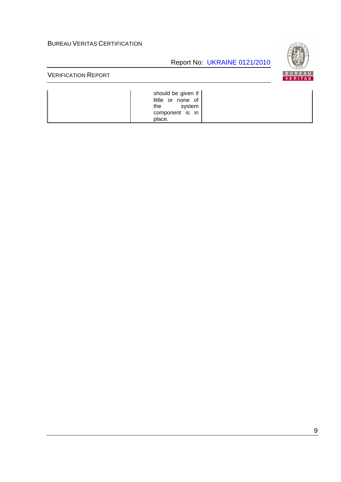Report No: UKRAINE 0121/2010



| <b>VERIFICATION REPORT</b> |  |  |
|----------------------------|--|--|
|                            |  |  |

| should be given if  <br>little or none of<br>the<br>system<br>component is in |  |
|-------------------------------------------------------------------------------|--|
| place.                                                                        |  |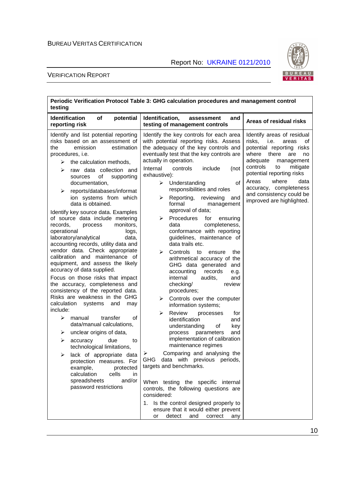

| Periodic Verification Protocol Table 3: GHG calculation procedures and management control<br>testing                                                                                                                                                                                                                                                                                                                                                                                                                                                                                                                                                                                                                                                                                                                                                                                                                                                                                                                                                                                                                                                                                                                 |                                                                                                                                                                                                                                                                                                                                                                                                                                                                                                                                                                                                                                                                                                                                                                                                                                                                                                                                                                                                                                                                                                                                                                                                                                                                                                                             |                                                                                                                                                                                                                                                                                                                           |  |  |
|----------------------------------------------------------------------------------------------------------------------------------------------------------------------------------------------------------------------------------------------------------------------------------------------------------------------------------------------------------------------------------------------------------------------------------------------------------------------------------------------------------------------------------------------------------------------------------------------------------------------------------------------------------------------------------------------------------------------------------------------------------------------------------------------------------------------------------------------------------------------------------------------------------------------------------------------------------------------------------------------------------------------------------------------------------------------------------------------------------------------------------------------------------------------------------------------------------------------|-----------------------------------------------------------------------------------------------------------------------------------------------------------------------------------------------------------------------------------------------------------------------------------------------------------------------------------------------------------------------------------------------------------------------------------------------------------------------------------------------------------------------------------------------------------------------------------------------------------------------------------------------------------------------------------------------------------------------------------------------------------------------------------------------------------------------------------------------------------------------------------------------------------------------------------------------------------------------------------------------------------------------------------------------------------------------------------------------------------------------------------------------------------------------------------------------------------------------------------------------------------------------------------------------------------------------------|---------------------------------------------------------------------------------------------------------------------------------------------------------------------------------------------------------------------------------------------------------------------------------------------------------------------------|--|--|
| <b>Identification</b><br>potential<br><b>of</b><br>reporting risk                                                                                                                                                                                                                                                                                                                                                                                                                                                                                                                                                                                                                                                                                                                                                                                                                                                                                                                                                                                                                                                                                                                                                    | Identification,<br>assessment<br>and<br>testing of management controls                                                                                                                                                                                                                                                                                                                                                                                                                                                                                                                                                                                                                                                                                                                                                                                                                                                                                                                                                                                                                                                                                                                                                                                                                                                      | Areas of residual risks                                                                                                                                                                                                                                                                                                   |  |  |
| Identify and list potential reporting<br>risks based on an assessment of<br>emission<br>estimation<br>the<br>procedures, i.e.<br>the calculation methods,<br>➤<br>raw data collection and<br>⋗<br>of<br>sources<br>supporting<br>documentation,<br>reports/databases/informat<br>➤<br>ion systems from which<br>data is obtained.<br>Identify key source data. Examples<br>of source data include metering<br>monitors,<br>records.<br>process<br>operational<br>logs,<br>laboratory/analytical<br>data,<br>accounting records, utility data and<br>vendor data. Check appropriate<br>calibration and maintenance of<br>equipment, and assess the likely<br>accuracy of data supplied.<br>Focus on those risks that impact<br>the accuracy, completeness and<br>consistency of the reported data.<br>Risks are weakness in the GHG<br>calculation<br>systems<br>and<br>may<br>include:<br>➤<br>transfer<br>manual<br>οf<br>data/manual calculations,<br>unclear origins of data,<br>➤<br>due<br>⋗<br>accuracy<br>to<br>technological limitations,<br>lack of appropriate data<br>protection measures. For<br>example,<br>protected<br>calculation<br>cells<br>in.<br>spreadsheets<br>and/or<br>password restrictions | Identify the key controls for each area<br>with potential reporting risks. Assess<br>the adequacy of the key controls and<br>eventually test that the key controls are<br>actually in operation.<br>Internal<br>controls<br>include<br>(not<br>exhaustive):<br>of<br>≻<br>Understanding<br>responsibilities and roles<br>Reporting, reviewing<br>➤<br>and<br>formal<br>management<br>approval of data;<br>Procedures<br>for<br>➤<br>ensuring<br>completeness,<br>data<br>conformance with reporting<br>guidelines, maintenance of<br>data trails etc.<br>Controls to<br>⋗<br>the<br>ensure<br>arithmetical accuracy of the<br>GHG data generated and<br>accounting<br>records<br>e.g.<br>internal<br>audits,<br>and<br>checking/<br>review<br>procedures;<br>Controls over the computer<br>➤<br>information systems;<br>➤<br>Review<br>processes<br>for<br>identification<br>and<br>understanding<br>of<br>key<br>and<br>process<br>parameters<br>implementation of calibration<br>maintenance regimes<br>Comparing and analysing the<br>GHG data with previous periods,<br>targets and benchmarks.<br>When testing the specific internal<br>controls, the following questions are<br>considered:<br>1. Is the control designed properly to<br>ensure that it would either prevent<br>detect<br>correct<br>and<br>or<br>any | Identify areas of residual<br>risks,<br>i.e.<br>areas<br>οf<br>potential reporting risks<br>where<br>there<br>are<br>no<br>adequate<br>management<br>controls<br>mitigate<br>to<br>potential reporting risks<br>Areas<br>where<br>data<br>accuracy, completeness<br>and consistency could be<br>improved are highlighted. |  |  |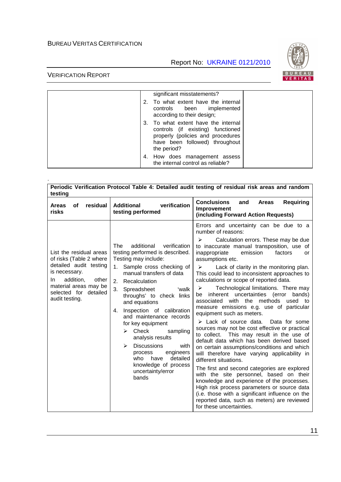Report No: UKRAINE 0121/2010



| significant misstatements?<br>2. To what extent have the internal<br>controls been implemented<br>according to their design;                                   |
|----------------------------------------------------------------------------------------------------------------------------------------------------------------|
| 3. To what extent have the internal<br>controls (if existing) functioned<br>properly (policies and procedures<br>have been followed) throughout<br>the period? |
| 4. How does management assess<br>the internal control as reliable?                                                                                             |

| testing                                                                                                                                                                                        | Periodic Verification Protocol Table 4: Detailed audit testing of residual risk areas and random                                                                                                                                                                                                                                                                                                                                                                                                                                                                              |                                                                                                                                                                                                                                                                                                                                                                                                                                                                                                                                                                                                                                                                                                                                                                                                                                                                                                                                                                                                                                                                                                                                                                                                                                                                   |
|------------------------------------------------------------------------------------------------------------------------------------------------------------------------------------------------|-------------------------------------------------------------------------------------------------------------------------------------------------------------------------------------------------------------------------------------------------------------------------------------------------------------------------------------------------------------------------------------------------------------------------------------------------------------------------------------------------------------------------------------------------------------------------------|-------------------------------------------------------------------------------------------------------------------------------------------------------------------------------------------------------------------------------------------------------------------------------------------------------------------------------------------------------------------------------------------------------------------------------------------------------------------------------------------------------------------------------------------------------------------------------------------------------------------------------------------------------------------------------------------------------------------------------------------------------------------------------------------------------------------------------------------------------------------------------------------------------------------------------------------------------------------------------------------------------------------------------------------------------------------------------------------------------------------------------------------------------------------------------------------------------------------------------------------------------------------|
| residual<br><b>Areas</b><br>οf<br>risks                                                                                                                                                        | verification<br><b>Additional</b><br>testing performed                                                                                                                                                                                                                                                                                                                                                                                                                                                                                                                        | <b>Conclusions</b><br><b>Requiring</b><br><b>Areas</b><br>and<br>Improvement<br>(including Forward Action Requests)                                                                                                                                                                                                                                                                                                                                                                                                                                                                                                                                                                                                                                                                                                                                                                                                                                                                                                                                                                                                                                                                                                                                               |
| List the residual areas<br>of risks (Table 2 where<br>detailed audit testing<br>is necessary.<br>addition,<br>other<br>In.<br>material areas may be<br>selected for detailed<br>audit testing. | <b>The</b><br>additional<br>verification<br>testing performed is described.<br>Testing may include:<br>Sample cross checking of<br>$1_{\cdot}$<br>manual transfers of data<br>Recalculation<br>2.<br>3.<br>Spreadsheet<br>ʻwalk<br>throughs' to check links<br>and equations<br>Inspection of calibration<br>4.<br>and maintenance records<br>for key equipment<br>Check<br>sampling<br>⋗<br>analysis results<br><b>Discussions</b><br>$\blacktriangleright$<br>with<br>engineers<br>process<br>detailed<br>who<br>have<br>knowledge of process<br>uncertainty/error<br>bands | Errors and uncertainty can be due to a<br>number of reasons:<br>$\blacktriangleright$<br>Calculation errors. These may be due<br>to inaccurate manual transposition, use of<br>inappropriate<br>emission<br>factors<br>or<br>assumptions etc.<br>Lack of clarity in the monitoring plan.<br>➤<br>This could lead to inconsistent approaches to<br>calculations or scope of reported data.<br>Technological limitations. There may<br>⋗<br>inherent uncertainties (error<br>bands)<br>be<br>associated with the methods<br>used to<br>measure emissions e.g. use of particular<br>equipment such as meters.<br>$\triangleright$ Lack of source data.<br>Data for some<br>sources may not be cost effective or practical<br>to collect.<br>This may result in the use of<br>default data which has been derived based<br>on certain assumptions/conditions and which<br>will therefore have varying applicability in<br>different situations.<br>The first and second categories are explored<br>with the site personnel, based on their<br>knowledge and experience of the processes.<br>High risk process parameters or source data<br>(i.e. those with a significant influence on the<br>reported data, such as meters) are reviewed<br>for these uncertainties. |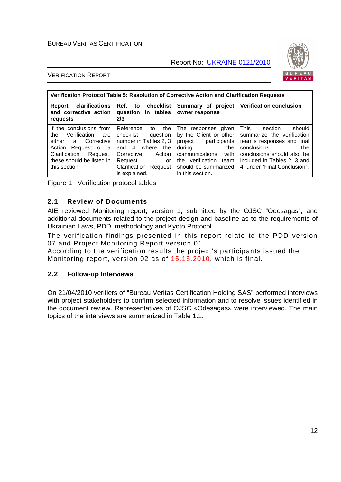

#### VERIFICATION REPORT

| Verification Protocol Table 5: Resolution of Corrective Action and Clarification Requests                                                                                               |                                                                                                                                                                                           |                                                                                                                                                                                                |                                                                                                                                                                                                                  |  |
|-----------------------------------------------------------------------------------------------------------------------------------------------------------------------------------------|-------------------------------------------------------------------------------------------------------------------------------------------------------------------------------------------|------------------------------------------------------------------------------------------------------------------------------------------------------------------------------------------------|------------------------------------------------------------------------------------------------------------------------------------------------------------------------------------------------------------------|--|
| clarifications<br>Report<br>and corrective action<br>requests                                                                                                                           | Ref.<br>to checklist<br>question in tables<br>2/3                                                                                                                                         | Summary of project<br>owner response                                                                                                                                                           | <b>Verification conclusion</b>                                                                                                                                                                                   |  |
| If the conclusions from<br>Verification<br>the<br>are<br>either<br>Corrective<br>a<br>Request or a<br>Action<br>Clarification<br>Request,<br>these should be listed in<br>this section. | Reference<br>the<br>to<br>checklist<br>question<br>number in Tables 2, 3<br>where<br>and $4$<br>the<br>Corrective<br>Action<br>Request<br>or<br>Clarification<br>Request<br>is explained. | The responses given<br>by the Client or other<br>project<br>participants<br>during<br>the<br>with<br>communications<br>verification<br>team<br>the<br>should be summarized<br>in this section. | <b>This</b><br>should<br>section<br>summarize the verification<br>team's responses and final<br>conclusions.<br>The<br>conclusions should also be<br>included in Tables 2, 3 and<br>4, under "Final Conclusion". |  |

Figure 1 Verification protocol tables

#### **2.1 Review of Documents**

AIE reviewed Monitoring report, version 1, submitted by the OJSC "Odesagas", and additional documents related to the project design and baseline as to the requirements of Ukrainian Laws, PDD, methodology and Kyoto Protocol.

The verification findings presented in this report relate to the PDD version 07 and Project Monitoring Report version 01.

According to the verification results the project's participants issued the Monitoring report, version 02 as of 15.15.2010, which is final.

#### **2.2 Follow-up Interviews**

On 21/04/2010 verifiers of "Bureau Veritas Certification Holding SAS" performed interviews with project stakeholders to confirm selected information and to resolve issues identified in the document review. Representatives of OJSC «Odesagas» were interviewed. The main topics of the interviews are summarized in Table 1.1.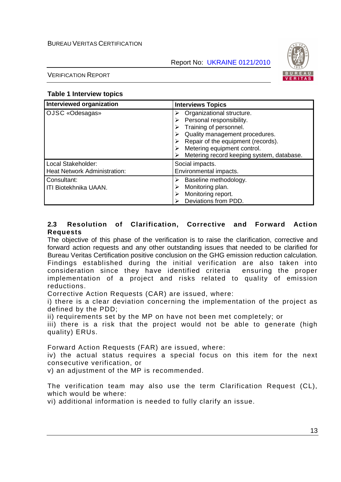

VERIFICATION REPORT

#### **Table 1 Interview topics**

| Interviewed organization            | <b>Interviews Topics</b>                  |  |
|-------------------------------------|-------------------------------------------|--|
| OJSC «Odesagas»                     | Organizational structure.                 |  |
|                                     | Personal responsibility.                  |  |
|                                     | Training of personnel.                    |  |
|                                     | Quality management procedures.            |  |
|                                     | Repair of the equipment (records).        |  |
|                                     | Metering equipment control.               |  |
|                                     | Metering record keeping system, database. |  |
| Local Stakeholder:                  | Social impacts.                           |  |
| <b>Heat Network Administration:</b> | Environmental impacts.                    |  |
| Consultant:                         | Baseline methodology.                     |  |
| ITI Biotekhnika UAAN.               | Monitoring plan.                          |  |
|                                     | Monitoring report.                        |  |
|                                     | Deviations from PDD.                      |  |

#### **2.3 Resolution of Clarification, Corrective and Forward Action Requests**

The objective of this phase of the verification is to raise the clarification, corrective and forward action requests and any other outstanding issues that needed to be clarified for Bureau Veritas Certification positive conclusion on the GHG emission reduction calculation. Findings established during the initial verification are also taken into consideration since they have identified criteria ensuring the proper implementation of a project and risks related to quality of emission reductions.

Corrective Action Requests (CAR) are issued, where:

i) there is a clear deviation concerning the implementation of the project as defined by the PDD;

ii) requirements set by the MP on have not been met completely; or

iii) there is a risk that the project would not be able to generate (high quality) ERUs.

Forward Action Requests (FAR) are issued, where:

iv) the actual status requires a special focus on this item for the next consecutive verification, or

v) an adjustment of the MP is recommended.

The verification team may also use the term Clarification Request (CL), which would be where:

vi) additional information is needed to fully clarify an issue.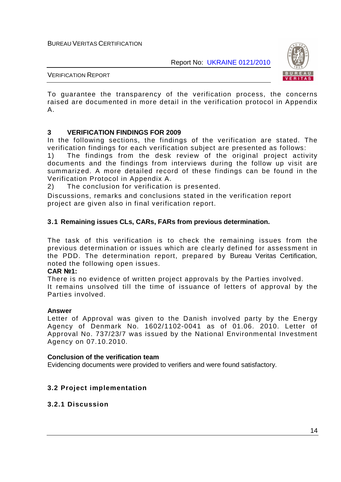

#### VERIFICATION REPORT

To guarantee the transparency of the verification process, the concerns raised are documented in more detail in the verification protocol in Appendix A.

# **3 VERIFICATION FINDINGS FOR 2009**

In the following sections, the findings of the verification are stated. The verification findings for each verification subject are presented as follows:

1) The findings from the desk review of the original project activity documents and the findings from interviews during the follow up visit are summarized. A more detailed record of these findings can be found in the Verification Protocol in Appendix A.

2) The conclusion for verification is presented.

Discussions, remarks and conclusions stated in the verification report project are given also in final verification report.

#### **3.1 Remaining issues CLs, CARs, FARs from previous determination.**

The task of this verification is to check the remaining issues from the previous determination or issues which are clearly defined for assessment in the PDD. The determination report, prepared by Bureau Veritas Certification, noted the following open issues.

#### **CAR №1:**

There is no evidence of written project approvals by the Parties involved. It remains unsolved till the time of issuance of letters of approval by the Parties involved.

#### **Answer**

Letter of Approval was given to the Danish involved party by the Energy Agency of Denmark No. 1602/1102-0041 as of 01.06. 2010. Letter of Approval No. 737/23/7 was issued by the National Environmental Investment Agency on 07.10.2010.

#### **Conclusion of the verification team**

Evidencing documents were provided to verifiers and were found satisfactory.

# **3.2 Project implementation**

#### **3.2.1 Discussion**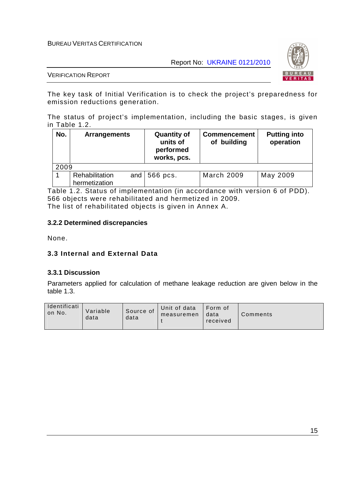

VERIFICATION REPORT

The key task of Initial Verification is to check the project's preparedness for emission reductions generation.

The status of project's implementation, including the basic stages, is given in Table 1.2.

| No.  | <b>Arrangements</b>                    | <b>Quantity of</b><br>units of<br>performed<br>works, pcs. | <b>Commencement</b><br>of building | <b>Putting into</b><br>operation |
|------|----------------------------------------|------------------------------------------------------------|------------------------------------|----------------------------------|
| 2009 |                                        |                                                            |                                    |                                  |
|      | Rehabilitation<br>and<br>hermetization | 566 pcs.                                                   | <b>March 2009</b>                  | May 2009                         |

Table 1.2. Status of implementation (in accordance with version 6 of PDD). 566 objects were rehabilitated and hermetized in 2009. The list of rehabilitated objects is given in Annex A.

#### **3.2.2 Determined discrepancies**

None.

# **3.3 Internal and External Data**

#### **3.3.1 Discussion**

Parameters applied for calculation of methane leakage reduction are given below in the table 1.3.

| Identificati<br>Source of<br>Variable<br>on No.<br>data<br>data | Unit of data<br>measuremen | Form of<br>data<br>received | Comments |
|-----------------------------------------------------------------|----------------------------|-----------------------------|----------|
|-----------------------------------------------------------------|----------------------------|-----------------------------|----------|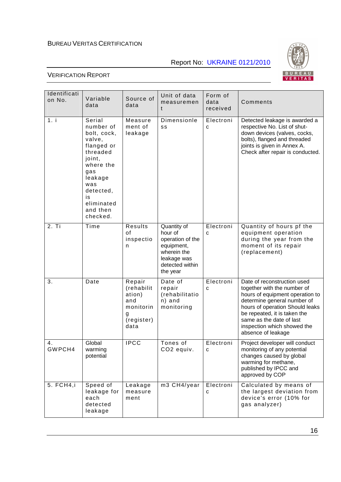# Report No: UKRAINE 0121/2010



| Identificati<br>on No. | Variable<br>data                                                                                                                                                                | Source of<br>data                                                        | Unit of data<br>measuremen<br>t                                                                                       | Form of<br>data<br>received | Comments                                                                                                                                                                                                                                                                         |
|------------------------|---------------------------------------------------------------------------------------------------------------------------------------------------------------------------------|--------------------------------------------------------------------------|-----------------------------------------------------------------------------------------------------------------------|-----------------------------|----------------------------------------------------------------------------------------------------------------------------------------------------------------------------------------------------------------------------------------------------------------------------------|
| 1. i                   | Serial<br>number of<br>bolt, cock,<br>valve,<br>flanged or<br>threaded<br>joint,<br>where the<br>gas<br>leakage<br>was<br>detected,<br>is<br>eliminated<br>and then<br>checked. | Measure<br>ment of<br>leakage                                            | Dimensionle<br>SS                                                                                                     | Electroni<br>C              | Detected leakage is awarded a<br>respective No. List of shut-<br>down devices (valves, cocks,<br>bolts), flanged and threaded<br>joints is given in Annex A.<br>Check after repair is conducted.                                                                                 |
| 2. Ti                  | Time                                                                                                                                                                            | Results<br>οf<br>inspectio<br>n                                          | Quantity of<br>hour of<br>operation of the<br>equipment,<br>wherein the<br>leakage was<br>detected within<br>the year | Electroni<br>C              | Quantity of hours pf the<br>equipment operation<br>during the year from the<br>moment of its repair<br>(replacement)                                                                                                                                                             |
| 3.                     | Date                                                                                                                                                                            | Repair<br>(rehabilit<br>ation)<br>and<br>monitorin<br>(register)<br>data | Date of<br>repair<br>(rehabilitatio<br>n) and<br>monitoring                                                           | Electroni<br>C              | Date of reconstruction used<br>together with the number of<br>hours of equipment operation to<br>determine general number of<br>hours of operation Should leaks<br>be repeated, it is taken the<br>same as the date of last<br>inspection which showed the<br>absence of leakage |
| 4.<br>GWPCH4           | Global<br>warming<br>potential                                                                                                                                                  | <b>IPCC</b>                                                              | Tones of<br>CO2 equiv.                                                                                                | Electroni<br>C              | Project developer will conduct<br>monitoring of any potential<br>changes caused by global<br>warming for methane,<br>published by IPCC and<br>approved by COP                                                                                                                    |
| 5. FCH4, i             | Speed of<br>leakage for<br>each<br>detected<br>leakage                                                                                                                          | Leakage<br>measure<br>ment                                               | m3 CH4/year                                                                                                           | Electroni<br>C              | Calculated by means of<br>the largest deviation from<br>device's error (10% for<br>gas analyzer)                                                                                                                                                                                 |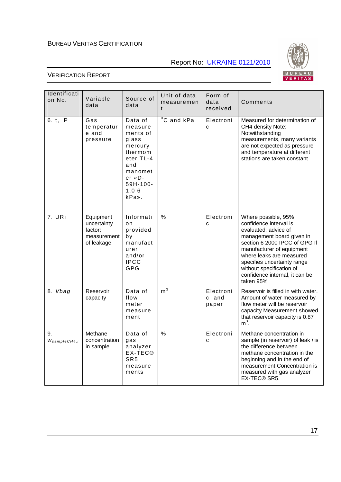Report No: UKRAINE 0121/2010



| Identificati<br>on No.  | Variable<br>data                                                 | Source of<br>data                                                                                                                     | Unit of data<br>measuremen<br>t | Form of<br>data<br>received | Comments                                                                                                                                                                                                                                                                                               |
|-------------------------|------------------------------------------------------------------|---------------------------------------------------------------------------------------------------------------------------------------|---------------------------------|-----------------------------|--------------------------------------------------------------------------------------------------------------------------------------------------------------------------------------------------------------------------------------------------------------------------------------------------------|
| 6. t, P                 | Gas<br>temperatur<br>e and<br>pressure                           | Data of<br>measure<br>ments of<br>glass<br>mercury<br>thermom<br>eter TL-4<br>and<br>manomet<br>er «D-<br>$59H-100-$<br>1.06<br>kPa». | $\mathrm{^{0}C}$ and kPa        | Electroni<br>C              | Measured for determination of<br>CH4 density Note:<br>Notwithstanding<br>measurements, many variants<br>are not expected as pressure<br>and temperature at different<br>stations are taken constant                                                                                                    |
| 7. URi                  | Equipment<br>uncertainty<br>factor;<br>measurement<br>of leakage | Informati<br>on<br>provided<br>by<br>manufact<br>urer<br>and/or<br><b>IPCC</b><br>GPG                                                 | $\%$                            | Electroni<br>C              | Where possible, 95%<br>confidence interval is<br>evaluated; advice of<br>management board given in<br>section 6 2000 IPCC of GPG If<br>manufacturer of equipment<br>where leaks are measured<br>specifies uncertainty range<br>without specification of<br>confidence internal, it can be<br>taken 95% |
| 8. Vbag                 | Reservoir<br>capacity                                            | Data of<br>flow<br>meter<br>measure<br>ment                                                                                           | m <sup>3</sup>                  | Electroni<br>c and<br>paper | Reservoir is filled in with water.<br>Amount of water measured by<br>flow meter will be reservoir<br>capacity Measurement showed<br>that reservoir capacity is 0.87<br>$m3$ .                                                                                                                          |
| 9.<br>$W_{sampleCH4,i}$ | Methane<br>concentration<br>in sample                            | Data of<br>gas<br>analyzer<br>EX-TEC®<br>SR <sub>5</sub><br>measure<br>ments                                                          | $\%$                            | Electroni<br>$\mathbf{C}$   | Methane concentration in<br>sample (in reservoir) of leak <i>i</i> is<br>the difference between<br>methane concentration in the<br>beginning and in the end of<br>measurement Concentration is<br>measured with gas analyzer<br>EX-TEC® SR5.                                                           |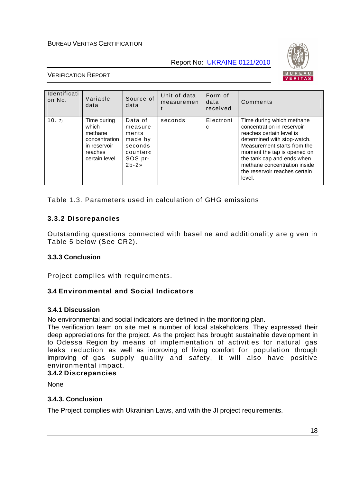

#### VERIFICATION REPORT

| Identificati<br>on No. | Variable<br>data                                                                             | Source of<br>data                                                                   | Unit of data<br>measuremen | Form of<br>data<br>received | Comments                                                                                                                                                                                                                                                                                  |
|------------------------|----------------------------------------------------------------------------------------------|-------------------------------------------------------------------------------------|----------------------------|-----------------------------|-------------------------------------------------------------------------------------------------------------------------------------------------------------------------------------------------------------------------------------------------------------------------------------------|
| 10. $T_i$              | Time during<br>which<br>methane<br>concentration<br>in reservoir<br>reaches<br>certain level | Data of<br>measure<br>ments<br>made by<br>seconds<br>counter«<br>SOS pr-<br>$2b-2*$ | seconds                    | Electroni<br>C              | Time during which methane<br>concentration in reservoir<br>reaches certain level is<br>determined with stop-watch.<br>Measurement starts from the<br>moment the tap is opened on<br>the tank cap and ends when<br>methane concentration inside<br>the reservoir reaches certain<br>level. |

Table 1.3. Parameters used in calculation of GHG emissions

# **3.3.2 Discrepancies**

Outstanding questions connected with baseline and additionality are given in Table 5 below (See CR2).

#### **3.3.3 Conclusion**

Project complies with requirements.

#### **3.4 Environmental and Social Indicators**

#### **3.4.1 Discussion**

No environmental and social indicators are defined in the monitoring plan.

The verification team on site met a number of local stakeholders. They expressed their deep appreciations for the project. As the project has brought sustainable development in to Odessa Region by means of implementation of activities for natural gas leaks reduction as well as improving of living comfort for population through improving of gas supply quality and safety, it will also have positive environmental impact.

# **3.4.2 Discrepancies**

**None** 

#### **3.4.3. Conclusion**

The Project complies with Ukrainian Laws, and with the JI project requirements.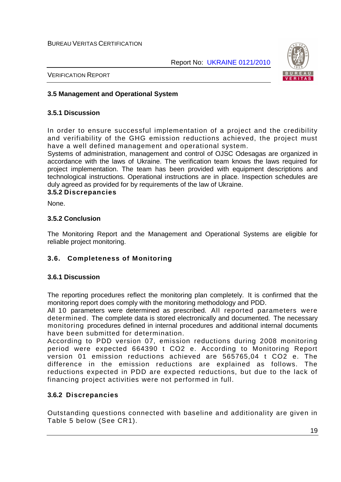

VERIFICATION REPORT

#### **3.5 Management and Operational System**

#### **3.5.1 Discussion**

In order to ensure successful implementation of a project and the credibility and verifiability of the GHG emission reductions achieved, the project must have a well defined management and operational system.

Systems of administration, management and control of OJSC Odesagas are organized in accordance with the laws of Ukraine. The verification team knows the laws required for project implementation. The team has been provided with equipment descriptions and technological instructions. Operational instructions are in place. Inspection schedules are duly agreed as provided for by requirements of the law of Ukraine.

#### **3.5.2 Discrepancies**

None.

#### **3.5.2 Conclusion**

The Monitoring Report and the Management and Operational Systems are eligible for reliable project monitoring.

#### **3.6. Completeness of Monitoring**

#### **3.6.1 Discussion**

The reporting procedures reflect the monitoring plan completely. It is confirmed that the monitoring report does comply with the monitoring methodology and PDD.

All 10 parameters were determined as prescribed. All reported parameters were determined. The complete data is stored electronically and documented. The necessary monitoring procedures defined in internal procedures and additional internal documents have been submitted for determination.

According to PDD version 07, emission reductions during 2008 monitoring period were expected 664390 t CO2 e. According to Monitoring Report version 01 emission reductions achieved are 565765,04 t CO2 e. The difference in the emission reductions are explained as follows. The reductions expected in PDD are expected reductions, but due to the lack of financing project activities were not performed in full.

#### **3.6.2 Discrepancies**

Outstanding questions connected with baseline and additionality are given in Table 5 below (See CR1).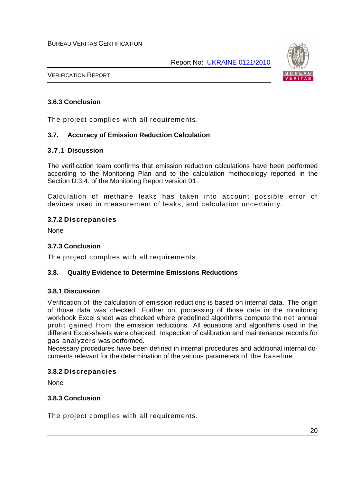

VERIFICATION REPORT

#### **3.6.3 Conclusion**

The project complies with all requirements.

#### **3.7. Accuracy of Emission Reduction Calculation**

#### **3.7.1 Discussion**

The verification team confirms that emission reduction calculations have been performed according to the Monitoring Plan and to the calculation methodology reported in the Section D.3.4. of the Monitoring Report version 01.

Calculation of methane leaks has taken into account possible error of devices used in measurement of leaks, and calculation uncertainty.

#### **3.7.2 Discrepancies**

None

#### **3.7.3 Conclusion**

The project complies with all requirements.

#### **3.8. Quality Evidence to Determine Emissions Reductions**

#### **3.8.1 Discussion**

Verification of the calculation of emission reductions is based on internal data. The origin of those data was checked. Further on, processing of those data in the monitoring workbook Excel sheet was checked where predefined algorithms compute the net annual profit gained from the emission reductions. All equations and algorithms used in the different Excel-sheets were checked. Inspection of calibration and maintenance records for gas analyzers was performed.

Necessary procedures have been defined in internal procedures and additional internal documents relevant for the determination of the various parameters of the baseline.

#### **3.8.2 Discrepancies**

**None** 

#### **3.8.3 Conclusion**

The project complies with all requirements.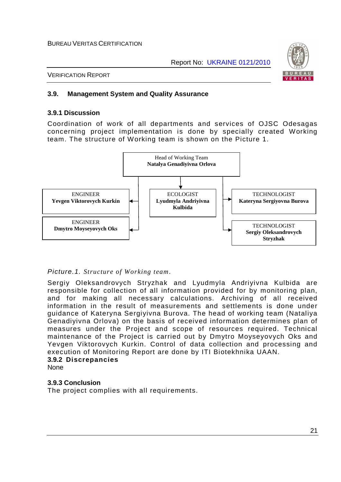

VERIFICATION REPORT

#### **3.9. Management System and Quality Assurance**

#### **3.9.1 Discussion**

Coordination of work of all departments and services of OJSC Odesagas concerning project implementation is done by specially created Working team. The structure of Working team is shown on the Picture 1.



Picture.1. *Structure of Working team*.

Sergiy Oleksandrovych Stryzhak and Lyudmyla Andriyivna Kulbida are responsible for collection of all information provided for by monitoring plan, and for making all necessary calculations. Archiving of all received information in the result of measurements and settlements is done under guidance of Kateryna Sergiyivna Burova. The head of working team (Nataliya Genadiyivna Orlova) on the basis of received information determines plan of measures under the Project and scope of resources required. Technical maintenance of the Project is carried out by Dmytro Moyseyovych Oks and Yevgen Viktorovych Kurkin. Control of data collection and processing and execution of Monitoring Report are done by ITI Biotekhnika UAAN. **3.9.2 Discrepancies**

None

#### **3.9.3 Conclusion**

The project complies with all requirements.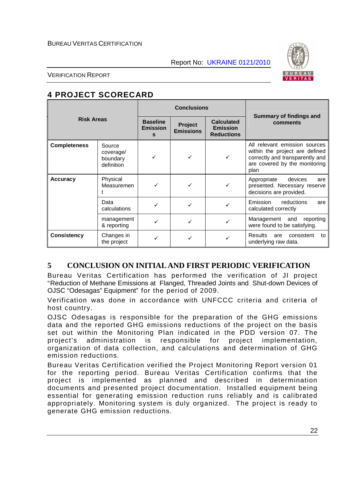

#### VERIFICATION REPORT

# **4 PROJECT SCORECARD**

|                     |                                               |                                         | <b>Conclusions</b>          |                                                           |                                                                                                                                             |
|---------------------|-----------------------------------------------|-----------------------------------------|-----------------------------|-----------------------------------------------------------|---------------------------------------------------------------------------------------------------------------------------------------------|
| <b>Risk Areas</b>   |                                               | <b>Baseline</b><br><b>Emission</b><br>S | Project<br><b>Emissions</b> | <b>Calculated</b><br><b>Emission</b><br><b>Reductions</b> | Summary of findings and<br>comments                                                                                                         |
| <b>Completeness</b> | Source<br>coverage/<br>boundary<br>definition |                                         |                             |                                                           | All relevant emission sources<br>within the project are defined<br>correctly and transparently and<br>are covered by the monitoring<br>plan |
| <b>Accuracy</b>     | Physical<br>Measuremen                        |                                         |                             |                                                           | Appropriate<br>devices<br>are<br>presented. Necessary reserve<br>decisions are provided.                                                    |
|                     | Data<br>calculations                          |                                         |                             |                                                           | Emission<br>reductions<br>are<br>calculated correctly                                                                                       |
|                     | management<br>& reporting                     |                                         |                             |                                                           | Management and<br>reporting<br>were found to be satisfying.                                                                                 |
| <b>Consistency</b>  | Changes in<br>the project                     |                                         |                             |                                                           | Results<br>consistent<br>are<br>to<br>underlying raw data.                                                                                  |

# **5 CONCLUSION ON INITIAL AND FIRST PERIODIC VERIFICATION**

Bureau Veritas Certification has performed the verification of JI project "Reduction of Methane Emissions at Flanged, Threaded Joints and Shut-down Devices of OJSC "Odesagas" Equipment" for the period of 2009.

Verification was done in accordance with UNFCCC criteria and criteria of host country.

OJSC Odesagas is responsible for the preparation of the GHG emissions data and the reported GHG emissions reductions of the project on the basis set out within the Monitoring Plan indicated in the PDD version 07. The project's administration is responsible for project implementation, organization of data collection, and calculations and determination of GHG emission reductions.

Bureau Veritas Certification verified the Project Monitoring Report version 01 for the reporting period. Bureau Veritas Certification confirms that the project is implemented as planned and described in determination documents and presented project documentation. Installed equipment being essential for generating emission reduction runs reliably and is calibrated appropriately. Monitoring system is duly organized. The project is ready to generate GHG emission reductions.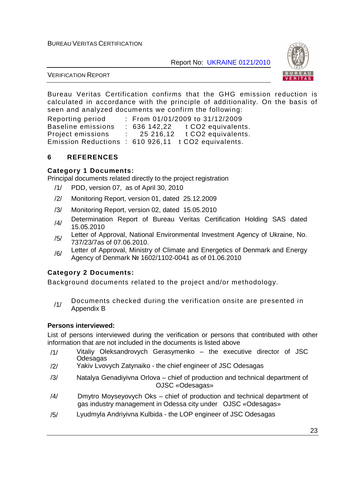

VERIFICATION REPORT

Bureau Veritas Certification confirms that the GHG emission reduction is calculated in accordance with the principle of additionality. On the basis of seen and analyzed documents we confirm the following:

Reporting period : From 01/01/2009 to 31/12/2009 Baseline emissions : 636 142,22 t CO2 equivalents. Project emissions : 25 216,12 t CO2 equivalents. Emission Reductions : 610 926,11 t CO2 equivalents.

#### **6 REFERENCES**

#### **Category 1 Documents:**

Principal documents related directly to the project registration

- /1/ PDD, version 07, as of April 30, 2010
- /2/ Monitoring Report, version 01, dated 25.12.2009
- /3/ Monitoring Report, version 02, dated 15.05.2010
- /4/ Determination Report of Bureau Veritas Certification Holding SAS dated 15.05.2010
- /5/ Letter of Approval, National Environmental Investment Agency of Ukraine, No. 737/23/7as of 07.06.2010.
- /6/ Letter of Approval, Ministry of Climate and Energetics of Denmark and Energy Agency of Denmark № 1602/1102-0041 as of 01.06.2010

# **Category 2 Documents:**

Background documents related to the project and/or methodology.

/1/ Documents checked during the verification onsite are presented in Appendix B

#### **Persons interviewed:**

List of persons interviewed during the verification or persons that contributed with other information that are not included in the documents is listed above

- /1/ Vitaliy Oleksandrovych Gerasymenko the executive director of JSC **Odesagas**
- /2/ Yakiv Lvovych Zatynaiko the chief engineer of JSC Odesagas
- /3/ Natalya Genadiyivna Orlova chief of production and technical department of OJSC «Odesagas»
- /4/ Dmytro Moyseyovych Oks chief of production and technical department of gas industry management in Odessa city under OJSC «Odesagas»
- /5/ Lyudmyla Andriyivna Kulbida the LOP engineer of JSC Odesagas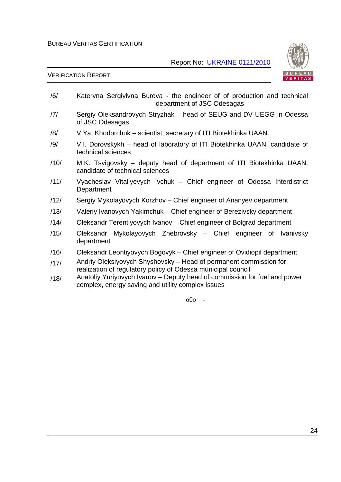Report No: UKRAINE 0121/2010



#### VERIFICATION REPORT

| /6/  | Kateryna Sergiyivna Burova - the engineer of of production and technical<br>department of JSC Odesagas                            |
|------|-----------------------------------------------------------------------------------------------------------------------------------|
| 7    | Sergiy Oleksandrovych Stryzhak – head of SEUG and DV UEGG in Odessa<br>of JSC Odesagas                                            |
| /8/  | V. Ya. Khodorchuk – scientist, secretary of ITI Biotekhinka UAAN.                                                                 |
| /9/  | V.I. Dorovskykh – head of laboratory of ITI Biotekhinka UAAN, candidate of<br>technical sciences                                  |
| /10/ | M.K. Tsvigovsky – deputy head of department of ITI Biotekhinka UAAN,<br>candidate of technical sciences                           |
| /11/ | Vyacheslav Vitaliyevych Ivchuk - Chief engineer of Odessa Interdistrict<br>Department                                             |
| /12/ | Sergiy Mykolayovych Korzhov – Chief engineer of Ananyev department                                                                |
| /13/ | Valeriy Ivanovych Yakimchuk - Chief engineer of Berezivsky department                                                             |
| /14/ | Oleksandr Terentiyovych Ivanov – Chief engineer of Bolgrad department                                                             |
| /15/ | Oleksandr Mykolayovych Zhebrovsky – Chief engineer of Ivanivsky<br>department                                                     |
| /16/ | Oleksandr Leontiyovych Bogovyk – Chief engineer of Ovidiopil department                                                           |
| /17/ | Andriy Oleksiyovych Shyshovsky - Head of permanent commission for<br>realization of regulatory policy of Odessa municipal council |
| 11R  | Anatoliv Yurivovvch Ivanov – Deputy head of commission for fuel and power                                                         |

/18/ Anatoliy Yuriyovych Ivanov – Deputy head of commission for fuel and power complex, energy saving and utility complex issues

o0o -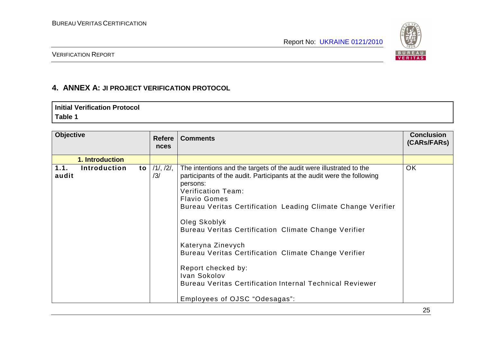

VERIFICATION REPORT

# **4. ANNEX A: JI PROJECT VERIFICATION PROTOCOL**

# **Initial Verification Protocol Table 1**

| <b>Objective</b> |                     |    | <b>Refere</b><br><b>nces</b> | <b>Comments</b>                                                                                                                                                                                                                                                                                                                                                                                                                                                                                                                                                               | <b>Conclusion</b><br>(CARs/FARs) |
|------------------|---------------------|----|------------------------------|-------------------------------------------------------------------------------------------------------------------------------------------------------------------------------------------------------------------------------------------------------------------------------------------------------------------------------------------------------------------------------------------------------------------------------------------------------------------------------------------------------------------------------------------------------------------------------|----------------------------------|
|                  | 1. Introduction     |    |                              |                                                                                                                                                                                                                                                                                                                                                                                                                                                                                                                                                                               |                                  |
| 1.1.<br>audit    | <b>Introduction</b> | to | $/1/$ , $/2/$ ,<br>/3/       | The intentions and the targets of the audit were illustrated to the<br>participants of the audit. Participants at the audit were the following<br>persons:<br><b>Verification Team:</b><br><b>Flavio Gomes</b><br>Bureau Veritas Certification Leading Climate Change Verifier<br>Oleg Skoblyk<br>Bureau Veritas Certification Climate Change Verifier<br>Kateryna Zinevych<br>Bureau Veritas Certification Climate Change Verifier<br>Report checked by:<br>Ivan Sokolov<br><b>Bureau Veritas Certification Internal Technical Reviewer</b><br>Employees of OJSC "Odesagas": | OK                               |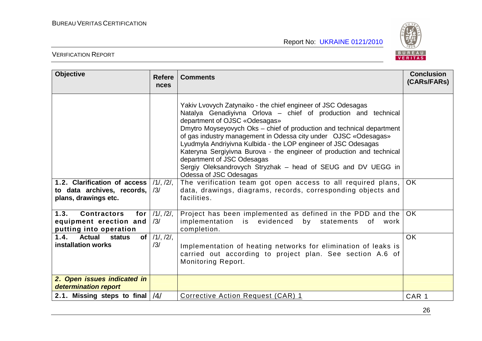

| <b>Objective</b>                                                                          | <b>Refere</b><br><b>nces</b> | <b>Comments</b>                                                                                                                                                                                                                                                                                                                                                                                                                                                                                                                                                                                                                                                                                                               | <b>Conclusion</b><br>(CARs/FARs) |
|-------------------------------------------------------------------------------------------|------------------------------|-------------------------------------------------------------------------------------------------------------------------------------------------------------------------------------------------------------------------------------------------------------------------------------------------------------------------------------------------------------------------------------------------------------------------------------------------------------------------------------------------------------------------------------------------------------------------------------------------------------------------------------------------------------------------------------------------------------------------------|----------------------------------|
| 1.2. Clarification of access<br>to data archives, records,<br>plans, drawings etc.        | $/1/$ , $/2/$ ,<br>/3/       | Yakiv Lvovych Zatynaiko - the chief engineer of JSC Odesagas<br>Natalya Genadiyivna Orlova – chief of production and technical<br>department of OJSC «Odesagas»<br>Dmytro Moyseyovych Oks - chief of production and technical department<br>of gas industry management in Odessa city under OJSC «Odesagas»<br>Lyudmyla Andriyivna Kulbida - the LOP engineer of JSC Odesagas<br>Kateryna Sergiyivna Burova - the engineer of production and technical<br>department of JSC Odesagas<br>Sergiy Oleksandrovych Stryzhak - head of SEUG and DV UEGG in<br>Odessa of JSC Odesagas<br>The verification team got open access to all required plans,<br>data, drawings, diagrams, records, corresponding objects and<br>facilities. | OK.                              |
| 1.3.<br><b>Contractors</b><br>for $ $<br>equipment erection and<br>putting into operation | $/1/$ , $/2/$ ,<br>/3/       | Project has been implemented as defined in the PDD and the<br>implementation is evidenced by statements<br>of work<br>completion.                                                                                                                                                                                                                                                                                                                                                                                                                                                                                                                                                                                             | OK.                              |
| 1.4.<br>of <sub>l</sub><br><b>Actual</b><br>status<br>installation works                  | $/1/$ , $/2/$ ,<br>/3/       | Implementation of heating networks for elimination of leaks is<br>carried out according to project plan. See section A.6 of<br><b>Monitoring Report.</b>                                                                                                                                                                                                                                                                                                                                                                                                                                                                                                                                                                      | <b>OK</b>                        |
| 2. Open issues indicated in<br>determination report                                       |                              |                                                                                                                                                                                                                                                                                                                                                                                                                                                                                                                                                                                                                                                                                                                               |                                  |
| 2.1. Missing steps to final                                                               | $\frac{14}{1}$               | Corrective Action Request (CAR) 1                                                                                                                                                                                                                                                                                                                                                                                                                                                                                                                                                                                                                                                                                             | CAR <sub>1</sub>                 |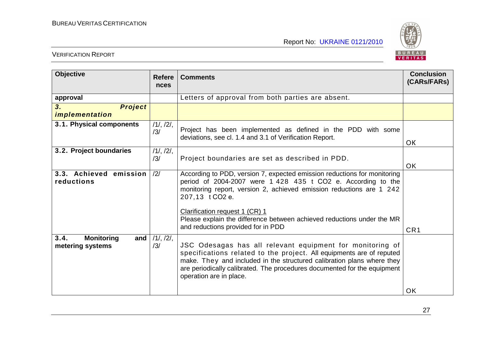

| <b>Objective</b>                                     | <b>Refere</b><br>nces | <b>Comments</b>                                                                                                                                                                                                                                                                                                                                                                      | <b>Conclusion</b><br>(CARs/FARs) |
|------------------------------------------------------|-----------------------|--------------------------------------------------------------------------------------------------------------------------------------------------------------------------------------------------------------------------------------------------------------------------------------------------------------------------------------------------------------------------------------|----------------------------------|
| approval                                             |                       | Letters of approval from both parties are absent.                                                                                                                                                                                                                                                                                                                                    |                                  |
| 3.<br><b>Project</b><br>implementation               |                       |                                                                                                                                                                                                                                                                                                                                                                                      |                                  |
| 3.1. Physical components                             | 11, 121,<br>/3/       | Project has been implemented as defined in the PDD with some<br>deviations, see cl. 1.4 and 3.1 of Verification Report.                                                                                                                                                                                                                                                              | OK                               |
| 3.2. Project boundaries                              | 11, 121,<br>/3/       | Project boundaries are set as described in PDD.                                                                                                                                                                                                                                                                                                                                      | <b>OK</b>                        |
| 3.3. Achieved emission<br>reductions                 | $\frac{12}{1}$        | According to PDD, version 7, expected emission reductions for monitoring<br>period of 2004-2007 were 1 428 435 t CO2 e. According to the<br>monitoring report, version 2, achieved emission reductions are 1 242<br>207,13 tCO2 e.<br>Clarification request 1 (CR) 1<br>Please explain the difference between achieved reductions under the MR<br>and reductions provided for in PDD | CR <sub>1</sub>                  |
| 3.4.<br><b>Monitoring</b><br>and<br>metering systems | 11, 121,<br>/3/       | JSC Odesagas has all relevant equipment for monitoring of<br>specifications related to the project. All equipments are of reputed<br>make. They and included in the structured calibration plans where they<br>are periodically calibrated. The procedures documented for the equipment<br>operation are in place.                                                                   | OK                               |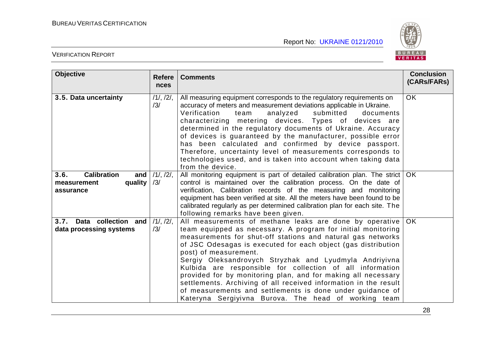

| <b>Objective</b>                                                         | <b>Refere</b><br><b>nces</b> | <b>Comments</b>                                                                                                                                                                                                                                                                                                                                                                                                                                                                                                                                                                                                                                                   | <b>Conclusion</b><br>(CARs/FARs) |
|--------------------------------------------------------------------------|------------------------------|-------------------------------------------------------------------------------------------------------------------------------------------------------------------------------------------------------------------------------------------------------------------------------------------------------------------------------------------------------------------------------------------------------------------------------------------------------------------------------------------------------------------------------------------------------------------------------------------------------------------------------------------------------------------|----------------------------------|
| 3.5. Data uncertainty                                                    | 11, 121,<br>/3/              | All measuring equipment corresponds to the regulatory requirements on<br>accuracy of meters and measurement deviations applicable in Ukraine.<br>analyzed<br>Verification<br>submitted<br>team<br>documents<br>characterizing metering devices. Types of devices are<br>determined in the regulatory documents of Ukraine. Accuracy<br>of devices is guaranteed by the manufacturer, possible error<br>has been calculated and confirmed by device passport.<br>Therefore, uncertainty level of measurements corresponds to<br>technologies used, and is taken into account when taking data<br>from the device.                                                  | <b>OK</b>                        |
| <b>Calibration</b><br>3.6.<br>and<br>quality<br>measurement<br>assurance | 11, 121,<br>/3/              | All monitoring equipment is part of detailed calibration plan. The strict<br>control is maintained over the calibration process. On the date of<br>verification, Calibration records of the measuring and monitoring<br>equipment has been verified at site. All the meters have been found to be<br>calibrated regularly as per determined calibration plan for each site. The<br>following remarks have been given.                                                                                                                                                                                                                                             | OK.                              |
| Data collection and<br>3.7.<br>data processing systems                   | 11, 121,<br>/3/              | All measurements of methane leaks are done by operative<br>team equipped as necessary. A program for initial monitoring<br>measurements for shut-off stations and natural gas networks<br>of JSC Odesagas is executed for each object (gas distribution<br>post) of measurement.<br>Sergiy Oleksandrovych Stryzhak and Lyudmyla Andriyivna<br>Kulbida are responsible for collection of all information<br>provided for by monitoring plan, and for making all necessary<br>settlements. Archiving of all received information in the result<br>of measurements and settlements is done under guidance of<br>Kateryna Sergiyivna Burova. The head of working team | OK.                              |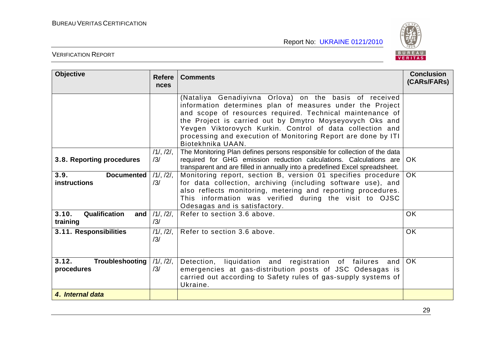

| <b>Objective</b>                                 | <b>Refere</b><br><b>nces</b> | <b>Comments</b>                                                                                                                                                                                                                                                                                                                                                                                 | <b>Conclusion</b><br>(CARs/FARs) |
|--------------------------------------------------|------------------------------|-------------------------------------------------------------------------------------------------------------------------------------------------------------------------------------------------------------------------------------------------------------------------------------------------------------------------------------------------------------------------------------------------|----------------------------------|
|                                                  |                              | (Nataliya Genadiyivna Orlova) on the basis of received<br>information determines plan of measures under the Project<br>and scope of resources required. Technical maintenance of<br>the Project is carried out by Dmytro Moyseyovych Oks and<br>Yevgen Viktorovych Kurkin. Control of data collection and<br>processing and execution of Monitoring Report are done by ITI<br>Biotekhnika UAAN. |                                  |
| 3.8. Reporting procedures                        | 11, 121,<br>/3/              | The Monitoring Plan defines persons responsible for collection of the data<br>required for GHG emission reduction calculations. Calculations are<br>transparent and are filled in annually into a predefined Excel spreadsheet.                                                                                                                                                                 | <b>OK</b>                        |
| 3.9.<br><b>Documented</b><br><b>instructions</b> | 11, 121,<br>/3/              | Monitoring report, section B, version 01 specifies procedure<br>for data collection, archiving (including software use), and<br>also reflects monitoring, metering and reporting procedures.<br>This information was verified during the visit to OJSC<br>Odesagas and is satisfactory.                                                                                                         | OK                               |
| 3.10.<br>Qualification<br>training               | and $/1/$ , $/2/$ ,<br>/3/   | Refer to section 3.6 above.                                                                                                                                                                                                                                                                                                                                                                     | <b>OK</b>                        |
| 3.11. Responsibilities                           | 11, 121,<br>/3/              | Refer to section 3.6 above.                                                                                                                                                                                                                                                                                                                                                                     | <b>OK</b>                        |
| 3.12.<br>Troubleshooting<br>procedures           | 11, 121,<br>/3/              | Detection, liquidation and registration of failures and<br>emergencies at gas-distribution posts of JSC Odesagas is<br>carried out according to Safety rules of gas-supply systems of<br>Ukraine.                                                                                                                                                                                               | OK.                              |
| 4. Internal data                                 |                              |                                                                                                                                                                                                                                                                                                                                                                                                 |                                  |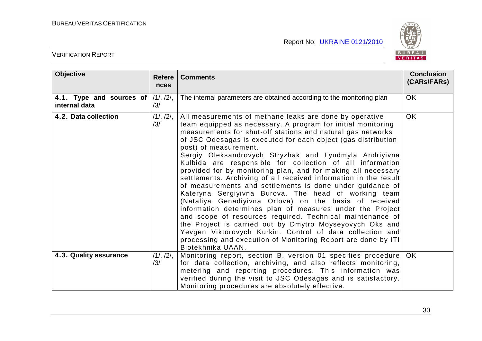

| <b>Objective</b>                          | <b>Refere</b><br><b>nces</b> | <b>Comments</b>                                                                                                                                                                                                                                                                                                                                                                                                                                                                                                                                                                                                                                                                                                                                                                                                                                                                                                                                                                                                                                                      | <b>Conclusion</b><br>(CARs/FARs) |
|-------------------------------------------|------------------------------|----------------------------------------------------------------------------------------------------------------------------------------------------------------------------------------------------------------------------------------------------------------------------------------------------------------------------------------------------------------------------------------------------------------------------------------------------------------------------------------------------------------------------------------------------------------------------------------------------------------------------------------------------------------------------------------------------------------------------------------------------------------------------------------------------------------------------------------------------------------------------------------------------------------------------------------------------------------------------------------------------------------------------------------------------------------------|----------------------------------|
| 4.1. Type and sources of<br>internal data | 11, 121,<br>/3/              | The internal parameters are obtained according to the monitoring plan                                                                                                                                                                                                                                                                                                                                                                                                                                                                                                                                                                                                                                                                                                                                                                                                                                                                                                                                                                                                | OK.                              |
| 4.2. Data collection                      | 11, 121,<br>/3/              | All measurements of methane leaks are done by operative<br>team equipped as necessary. A program for initial monitoring<br>measurements for shut-off stations and natural gas networks<br>of JSC Odesagas is executed for each object (gas distribution<br>post) of measurement.<br>Sergiy Oleksandrovych Stryzhak and Lyudmyla Andriyivna<br>Kulbida are responsible for collection of all information<br>provided for by monitoring plan, and for making all necessary<br>settlements. Archiving of all received information in the result<br>of measurements and settlements is done under guidance of<br>Kateryna Sergiyivna Burova. The head of working team<br>(Nataliya Genadiyivna Orlova) on the basis of received<br>information determines plan of measures under the Project<br>and scope of resources required. Technical maintenance of<br>the Project is carried out by Dmytro Moyseyovych Oks and<br>Yevgen Viktorovych Kurkin. Control of data collection and<br>processing and execution of Monitoring Report are done by ITI<br>Biotekhnika UAAN. | <b>OK</b>                        |
| 4.3. Quality assurance                    | 11, 121,<br>/3/              | Monitoring report, section B, version 01 specifies procedure<br>for data collection, archiving, and also reflects monitoring,<br>metering and reporting procedures. This information was<br>verified during the visit to JSC Odesagas and is satisfactory.<br>Monitoring procedures are absolutely effective.                                                                                                                                                                                                                                                                                                                                                                                                                                                                                                                                                                                                                                                                                                                                                        | <b>OK</b>                        |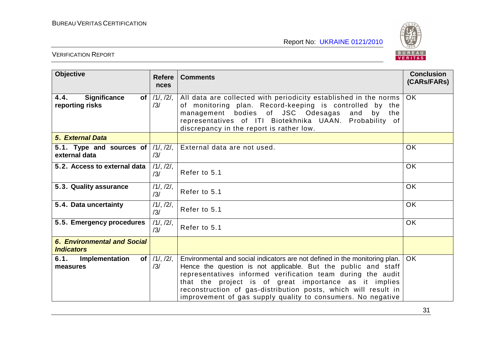

| <b>Objective</b>                                            | <b>Refere</b><br>nces     | <b>Comments</b>                                                                                                                                                                                                                                                                                                                                                                                        | <b>Conclusion</b><br>(CARs/FARs) |
|-------------------------------------------------------------|---------------------------|--------------------------------------------------------------------------------------------------------------------------------------------------------------------------------------------------------------------------------------------------------------------------------------------------------------------------------------------------------------------------------------------------------|----------------------------------|
| <b>Significance</b><br>4.4.<br>reporting risks              | of $/1/$ , $/2/$ ,<br>/3/ | All data are collected with periodicity established in the norms<br>of monitoring plan. Record-keeping is controlled by the<br>management bodies of JSC Odesagas<br>and<br>by the<br>representatives of ITI Biotekhnika UAAN. Probability of<br>discrepancy in the report is rather low.                                                                                                               | <b>OK</b>                        |
| <b>5. External Data</b>                                     |                           |                                                                                                                                                                                                                                                                                                                                                                                                        |                                  |
| 5.1. Type and sources of $/1/1$ , $/2/1$ ,<br>external data | /3/                       | External data are not used.                                                                                                                                                                                                                                                                                                                                                                            | OK                               |
| 5.2. Access to external data                                | 11, 121,<br>/3/           | Refer to 5.1                                                                                                                                                                                                                                                                                                                                                                                           | <b>OK</b>                        |
| 5.3. Quality assurance                                      | 11, 121,<br>/3/           | Refer to 5.1                                                                                                                                                                                                                                                                                                                                                                                           | OK                               |
| 5.4. Data uncertainty                                       | 11, 121,<br>/3/           | Refer to 5.1                                                                                                                                                                                                                                                                                                                                                                                           | <b>OK</b>                        |
| 5.5. Emergency procedures                                   | 11, 121,<br>/3/           | Refer to 5.1                                                                                                                                                                                                                                                                                                                                                                                           | OK                               |
| <b>6. Environmental and Social</b><br><b>Indicators</b>     |                           |                                                                                                                                                                                                                                                                                                                                                                                                        |                                  |
| Implementation<br>6.1.<br>measures                          | of $/1/$ , $/2/$ ,<br>/3/ | Environmental and social indicators are not defined in the monitoring plan.<br>Hence the question is not applicable. But the public and staff<br>representatives informed verification team during the audit<br>that the project is of great importance as it implies<br>reconstruction of gas-distribution posts, which will result in<br>improvement of gas supply quality to consumers. No negative | OK                               |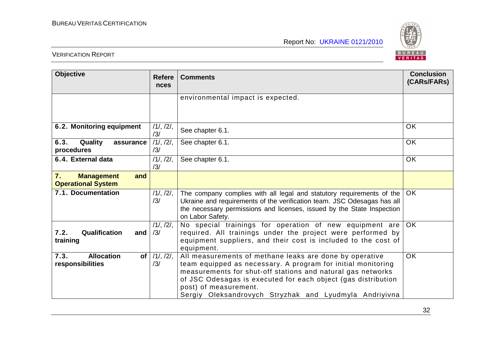

| <b>Objective</b>                                            | <b>Refere</b><br>nces | <b>Comments</b>                                                                                                                                                                                                                                                                                                                            | <b>Conclusion</b><br>(CARs/FARs) |
|-------------------------------------------------------------|-----------------------|--------------------------------------------------------------------------------------------------------------------------------------------------------------------------------------------------------------------------------------------------------------------------------------------------------------------------------------------|----------------------------------|
|                                                             |                       | environmental impact is expected.                                                                                                                                                                                                                                                                                                          |                                  |
| 6.2. Monitoring equipment                                   | 11, 121,<br>/3/       | See chapter 6.1.                                                                                                                                                                                                                                                                                                                           | <b>OK</b>                        |
| 6.3.<br>Quality<br>assurance<br>procedures                  | 11, 121,<br>/3/       | See chapter 6.1.                                                                                                                                                                                                                                                                                                                           | OK                               |
| 6.4. External data                                          | 11, 121,<br>/3/       | See chapter 6.1.                                                                                                                                                                                                                                                                                                                           | <b>OK</b>                        |
| 7.<br><b>Management</b><br>and<br><b>Operational System</b> |                       |                                                                                                                                                                                                                                                                                                                                            |                                  |
| 7.1. Documentation                                          | 11, 121,<br>/3/       | The company complies with all legal and statutory requirements of the<br>Ukraine and requirements of the verification team. JSC Odesagas has all<br>the necessary permissions and licenses, issued by the State Inspection<br>on Labor Safety.                                                                                             | OK.                              |
| 7.2.<br><b>Qualification</b><br>and<br>training             | 11, 121,<br>/3/       | No special trainings for operation of new equipment are<br>required. All trainings under the project were performed by<br>equipment suppliers, and their cost is included to the cost of<br>equipment.                                                                                                                                     | OK.                              |
| 7.3.<br><b>Allocation</b><br>of<br>responsibilities         | 11, 121,<br>/3/       | All measurements of methane leaks are done by operative<br>team equipped as necessary. A program for initial monitoring<br>measurements for shut-off stations and natural gas networks<br>of JSC Odesagas is executed for each object (gas distribution<br>post) of measurement.<br>Sergiy Oleksandrovych Stryzhak and Lyudmyla Andriyivna | <b>OK</b>                        |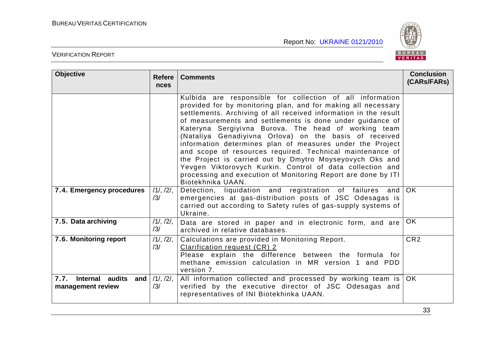

| <b>Objective</b>                                                        | <b>Refere</b><br><b>nces</b> | <b>Comments</b>                                                                                                                                                                                                                                                                                                                                                                                                                                                                                                                                                                                                                                                                                                        | <b>Conclusion</b><br>(CARs/FARs) |
|-------------------------------------------------------------------------|------------------------------|------------------------------------------------------------------------------------------------------------------------------------------------------------------------------------------------------------------------------------------------------------------------------------------------------------------------------------------------------------------------------------------------------------------------------------------------------------------------------------------------------------------------------------------------------------------------------------------------------------------------------------------------------------------------------------------------------------------------|----------------------------------|
|                                                                         |                              | Kulbida are responsible for collection of all information<br>provided for by monitoring plan, and for making all necessary<br>settlements. Archiving of all received information in the result<br>of measurements and settlements is done under guidance of<br>Kateryna Sergiyivna Burova. The head of working team<br>(Nataliya Genadiyivna Orlova) on the basis of received<br>information determines plan of measures under the Project<br>and scope of resources required. Technical maintenance of<br>the Project is carried out by Dmytro Moyseyovych Oks and<br>Yevgen Viktorovych Kurkin. Control of data collection and<br>processing and execution of Monitoring Report are done by ITI<br>Biotekhnika UAAN. |                                  |
| 7.4. Emergency procedures<br>11, 121,<br>/3/                            |                              | Detection, liquidation and registration of failures and<br>emergencies at gas-distribution posts of JSC Odesagas is<br>carried out according to Safety rules of gas-supply systems of<br>Ukraine.                                                                                                                                                                                                                                                                                                                                                                                                                                                                                                                      | OK.                              |
| 7.5. Data archiving<br>11, 121,<br>/3/                                  |                              | Data are stored in paper and in electronic form, and are<br>archived in relative databases.                                                                                                                                                                                                                                                                                                                                                                                                                                                                                                                                                                                                                            | OK                               |
| 7.6. Monitoring report<br>$/1/$ , $/2/$ ,<br>/3/                        |                              | Calculations are provided in Monitoring Report.<br>Clarification request (CR) 2<br>Please explain the difference between the formula for<br>methane emission calculation in MR version 1 and PDD<br>version 7.                                                                                                                                                                                                                                                                                                                                                                                                                                                                                                         | CR <sub>2</sub>                  |
| Internal audits and $/1/$ , $/2/$ ,<br>7.7.<br>/3/<br>management review |                              | All information collected and processed by working team is<br>verified by the executive director of JSC Odesagas and<br>representatives of INI Biotekhinka UAAN.                                                                                                                                                                                                                                                                                                                                                                                                                                                                                                                                                       | OK                               |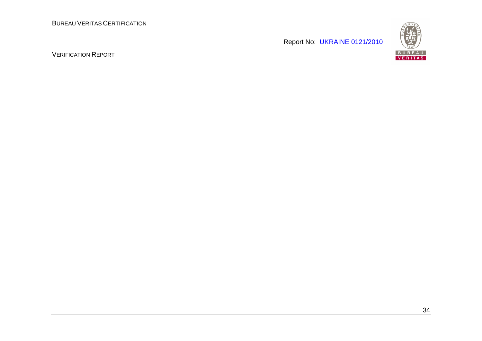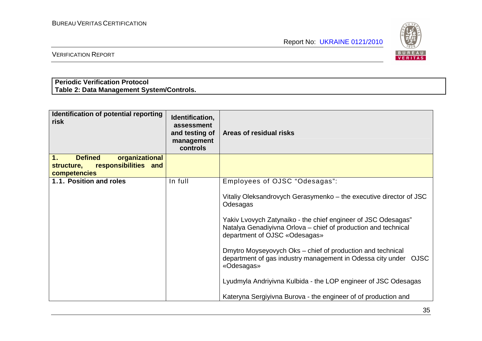

VERIFICATION REPORT

**Periodic Verification Protocol Table 2: Data Management System/Controls.** 

| Identification of potential reporting<br>risk | Identification,<br>assessment<br>and testing of<br>management<br>controls | Areas of residual risks                                                                                                                                          |
|-----------------------------------------------|---------------------------------------------------------------------------|------------------------------------------------------------------------------------------------------------------------------------------------------------------|
| <b>Defined</b><br>organizational<br>1.        |                                                                           |                                                                                                                                                                  |
| responsibilities and<br>structure,            |                                                                           |                                                                                                                                                                  |
| competencies                                  |                                                                           |                                                                                                                                                                  |
| 1.1. Position and roles                       | In full                                                                   | Employees of OJSC "Odesagas":                                                                                                                                    |
|                                               |                                                                           | Vitaliy Oleksandrovych Gerasymenko – the executive director of JSC<br>Odesagas                                                                                   |
|                                               |                                                                           | Yakiv Lvovych Zatynaiko - the chief engineer of JSC Odesagas"<br>Natalya Genadiyivna Orlova - chief of production and technical<br>department of OJSC «Odesagas» |
|                                               |                                                                           | Dmytro Moyseyovych Oks – chief of production and technical<br>department of gas industry management in Odessa city under OJSC<br>«Odesagas»                      |
|                                               |                                                                           | Lyudmyla Andriyivna Kulbida - the LOP engineer of JSC Odesagas                                                                                                   |
|                                               |                                                                           | Kateryna Sergiyivna Burova - the engineer of of production and                                                                                                   |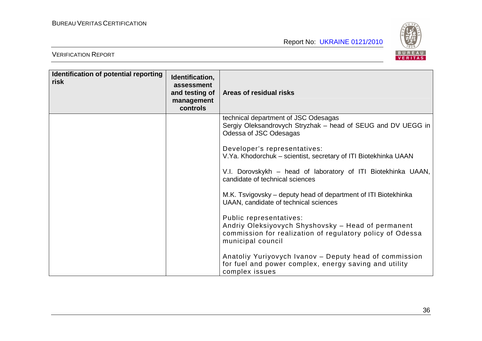

| Identification of potential reporting<br>risk | Identification,<br>assessment<br>and testing of<br>management<br>controls | Areas of residual risks                                                                                                                                         |  |  |
|-----------------------------------------------|---------------------------------------------------------------------------|-----------------------------------------------------------------------------------------------------------------------------------------------------------------|--|--|
|                                               |                                                                           | technical department of JSC Odesagas<br>Sergiy Oleksandrovych Stryzhak - head of SEUG and DV UEGG in<br>Odessa of JSC Odesagas                                  |  |  |
|                                               |                                                                           | Developer's representatives:<br>V. Ya. Khodorchuk - scientist, secretary of ITI Biotekhinka UAAN                                                                |  |  |
|                                               |                                                                           | V.I. Dorovskykh – head of laboratory of ITI Biotekhinka UAAN,<br>candidate of technical sciences                                                                |  |  |
|                                               |                                                                           | M.K. Tsvigovsky – deputy head of department of ITI Biotekhinka<br>UAAN, candidate of technical sciences                                                         |  |  |
|                                               |                                                                           | Public representatives:<br>Andriy Oleksiyovych Shyshovsky - Head of permanent<br>commission for realization of regulatory policy of Odessa<br>municipal council |  |  |
|                                               |                                                                           | Anatoliy Yuriyovych Ivanov - Deputy head of commission<br>for fuel and power complex, energy saving and utility<br>complex issues                               |  |  |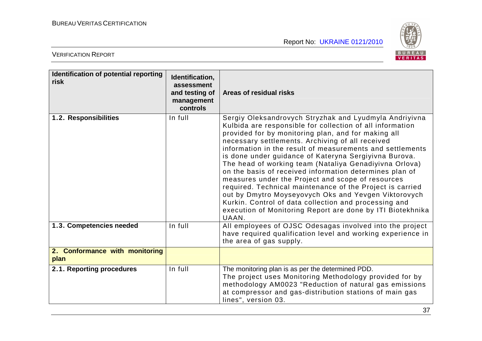

| Identification of potential reporting<br>risk | Identification,<br>assessment<br>and testing of<br>management<br>controls | Areas of residual risks                                                                                                                                                                                                                                                                                                                                                                                                                                                                                                                                                                                                                                                                                                                                                             |
|-----------------------------------------------|---------------------------------------------------------------------------|-------------------------------------------------------------------------------------------------------------------------------------------------------------------------------------------------------------------------------------------------------------------------------------------------------------------------------------------------------------------------------------------------------------------------------------------------------------------------------------------------------------------------------------------------------------------------------------------------------------------------------------------------------------------------------------------------------------------------------------------------------------------------------------|
| 1.2. Responsibilities                         | In full                                                                   | Sergiy Oleksandrovych Stryzhak and Lyudmyla Andriyivna<br>Kulbida are responsible for collection of all information<br>provided for by monitoring plan, and for making all<br>necessary settlements. Archiving of all received<br>information in the result of measurements and settlements<br>is done under guidance of Kateryna Sergiyivna Burova.<br>The head of working team (Nataliya Genadiyivna Orlova)<br>on the basis of received information determines plan of<br>measures under the Project and scope of resources<br>required. Technical maintenance of the Project is carried<br>out by Dmytro Moyseyovych Oks and Yevgen Viktorovych<br>Kurkin. Control of data collection and processing and<br>execution of Monitoring Report are done by ITI Biotekhnika<br>UAAN. |
| 1.3. Competencies needed                      | In full                                                                   | All employees of OJSC Odesagas involved into the project<br>have required qualification level and working experience in<br>the area of gas supply.                                                                                                                                                                                                                                                                                                                                                                                                                                                                                                                                                                                                                                  |
| 2. Conformance with monitoring<br>plan        |                                                                           |                                                                                                                                                                                                                                                                                                                                                                                                                                                                                                                                                                                                                                                                                                                                                                                     |
| 2.1. Reporting procedures                     | In full                                                                   | The monitoring plan is as per the determined PDD.<br>The project uses Monitoring Methodology provided for by<br>methodology AM0023 "Reduction of natural gas emissions<br>at compressor and gas-distribution stations of main gas<br>lines", version 03.                                                                                                                                                                                                                                                                                                                                                                                                                                                                                                                            |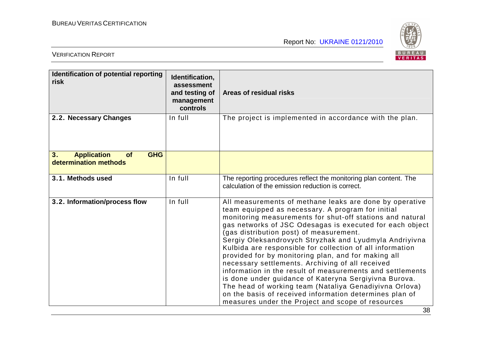

| Identification of potential reporting<br>risk                         | Identification,<br>assessment<br>and testing of<br>management<br>controls | <b>Areas of residual risks</b>                                                                                                                                                                                                                                                                                                                                                                                                                                                                                                                                                                                                                                                                                                                                                                                     |  |  |
|-----------------------------------------------------------------------|---------------------------------------------------------------------------|--------------------------------------------------------------------------------------------------------------------------------------------------------------------------------------------------------------------------------------------------------------------------------------------------------------------------------------------------------------------------------------------------------------------------------------------------------------------------------------------------------------------------------------------------------------------------------------------------------------------------------------------------------------------------------------------------------------------------------------------------------------------------------------------------------------------|--|--|
| 2.2. Necessary Changes                                                | In full                                                                   | The project is implemented in accordance with the plan.                                                                                                                                                                                                                                                                                                                                                                                                                                                                                                                                                                                                                                                                                                                                                            |  |  |
| <b>GHG</b><br>3.<br><b>Application</b><br>of<br>determination methods |                                                                           |                                                                                                                                                                                                                                                                                                                                                                                                                                                                                                                                                                                                                                                                                                                                                                                                                    |  |  |
| 3.1. Methods used                                                     | In full                                                                   | The reporting procedures reflect the monitoring plan content. The<br>calculation of the emission reduction is correct.                                                                                                                                                                                                                                                                                                                                                                                                                                                                                                                                                                                                                                                                                             |  |  |
| 3.2. Information/process flow                                         | In full                                                                   | All measurements of methane leaks are done by operative<br>team equipped as necessary. A program for initial<br>monitoring measurements for shut-off stations and natural<br>gas networks of JSC Odesagas is executed for each object<br>(gas distribution post) of measurement.<br>Sergiy Oleksandrovych Stryzhak and Lyudmyla Andriyivna<br>Kulbida are responsible for collection of all information<br>provided for by monitoring plan, and for making all<br>necessary settlements. Archiving of all received<br>information in the result of measurements and settlements<br>is done under guidance of Kateryna Sergiyivna Burova.<br>The head of working team (Nataliya Genadiyivna Orlova)<br>on the basis of received information determines plan of<br>measures under the Project and scope of resources |  |  |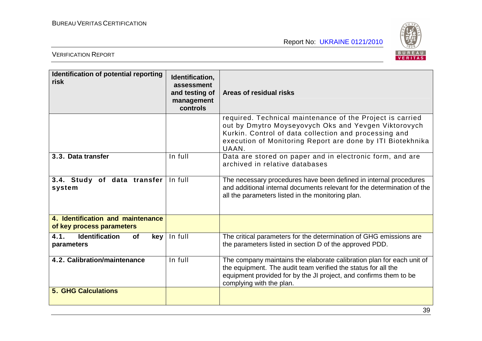

| Identification of potential reporting<br>risk                  | Identification,<br>assessment<br>and testing of<br>management<br>controls | Areas of residual risks                                                                                                                                                                                                                           |  |  |
|----------------------------------------------------------------|---------------------------------------------------------------------------|---------------------------------------------------------------------------------------------------------------------------------------------------------------------------------------------------------------------------------------------------|--|--|
|                                                                |                                                                           | required. Technical maintenance of the Project is carried<br>out by Dmytro Moyseyovych Oks and Yevgen Viktorovych<br>Kurkin. Control of data collection and processing and<br>execution of Monitoring Report are done by ITI Biotekhnika<br>UAAN. |  |  |
| 3.3. Data transfer                                             | In full                                                                   | Data are stored on paper and in electronic form, and are<br>archived in relative databases                                                                                                                                                        |  |  |
| 3.4. Study of data transfer<br>system                          | In full                                                                   | The necessary procedures have been defined in internal procedures<br>and additional internal documents relevant for the determination of the<br>all the parameters listed in the monitoring plan.                                                 |  |  |
| 4. Identification and maintenance<br>of key process parameters |                                                                           |                                                                                                                                                                                                                                                   |  |  |
| <b>Identification</b><br>4.1.<br><b>of</b><br>parameters       | key   In full                                                             | The critical parameters for the determination of GHG emissions are<br>the parameters listed in section D of the approved PDD.                                                                                                                     |  |  |
| 4.2. Calibration/maintenance                                   | In full                                                                   | The company maintains the elaborate calibration plan for each unit of<br>the equipment. The audit team verified the status for all the<br>equipment provided for by the JI project, and confirms them to be<br>complying with the plan.           |  |  |
| <b>5. GHG Calculations</b>                                     |                                                                           |                                                                                                                                                                                                                                                   |  |  |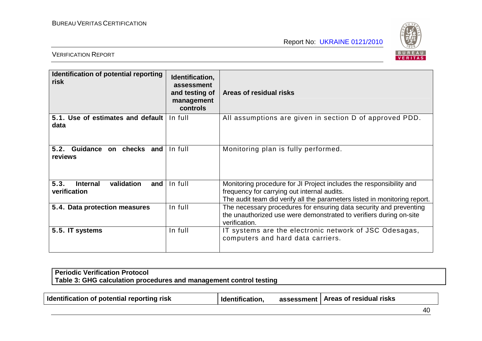

| Identification of potential reporting<br>risk                | Identification,<br>assessment<br>and testing of<br>management<br><b>controls</b> | Areas of residual risks                                                                                                                                                                         |  |  |
|--------------------------------------------------------------|----------------------------------------------------------------------------------|-------------------------------------------------------------------------------------------------------------------------------------------------------------------------------------------------|--|--|
| 5.1. Use of estimates and default<br>data                    | In full                                                                          | All assumptions are given in section D of approved PDD.                                                                                                                                         |  |  |
| 5.2.<br>Guidance<br>on checks and<br>reviews                 | In full                                                                          | Monitoring plan is fully performed.                                                                                                                                                             |  |  |
| 5.3.<br>validation<br><b>Internal</b><br>and<br>verification | In full                                                                          | Monitoring procedure for JI Project includes the responsibility and<br>frequency for carrying out internal audits.<br>The audit team did verify all the parameters listed in monitoring report. |  |  |
| 5.4. Data protection measures                                | In full                                                                          | The necessary procedures for ensuring data security and preventing<br>the unauthorized use were demonstrated to verifiers during on-site<br>verification.                                       |  |  |
| 5.5. IT systems                                              | In full                                                                          | IT systems are the electronic network of JSC Odesagas,<br>computers and hard data carriers.                                                                                                     |  |  |

| Periodic Verification Protocol                                     |  |
|--------------------------------------------------------------------|--|
| Table 3: GHG calculation procedures and management control testing |  |

| Identification of potential reporting risk |  | assessment   Areas of residual risks |
|--------------------------------------------|--|--------------------------------------|
|                                            |  |                                      |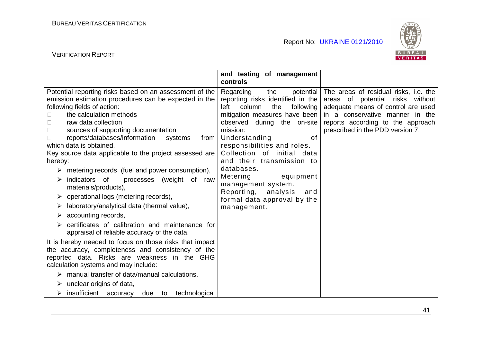

|                                                                                                                                                                                                                                                                                                                                                                                                                                                                                                                                                                                                                                                                                                                                                                                                                                                                                                                                                                                                                                                                                                                                                         | and testing of management<br>controls                                                                                                                                                                                                                                                                                                                                                                                                |                                                                                                                                                                                                                                            |
|---------------------------------------------------------------------------------------------------------------------------------------------------------------------------------------------------------------------------------------------------------------------------------------------------------------------------------------------------------------------------------------------------------------------------------------------------------------------------------------------------------------------------------------------------------------------------------------------------------------------------------------------------------------------------------------------------------------------------------------------------------------------------------------------------------------------------------------------------------------------------------------------------------------------------------------------------------------------------------------------------------------------------------------------------------------------------------------------------------------------------------------------------------|--------------------------------------------------------------------------------------------------------------------------------------------------------------------------------------------------------------------------------------------------------------------------------------------------------------------------------------------------------------------------------------------------------------------------------------|--------------------------------------------------------------------------------------------------------------------------------------------------------------------------------------------------------------------------------------------|
| Potential reporting risks based on an assessment of the<br>emission estimation procedures can be expected in the<br>following fields of action:<br>the calculation methods<br>raw data collection<br>sources of supporting documentation<br>reports/databases/information<br>systems<br>from  <br>which data is obtained.<br>Key source data applicable to the project assessed are<br>hereby:<br>$\triangleright$ metering records (fuel and power consumption),<br>indicators of<br>processes (weight of raw<br>➤<br>materials/products),<br>$\triangleright$ operational logs (metering records),<br>laboratory/analytical data (thermal value),<br>accounting records,<br>➤<br>certificates of calibration and maintenance for<br>appraisal of reliable accuracy of the data.<br>It is hereby needed to focus on those risks that impact<br>the accuracy, completeness and consistency of the<br>reported data. Risks are weakness in the GHG<br>calculation systems and may include:<br>$\triangleright$ manual transfer of data/manual calculations,<br>unclear origins of data,<br>➤<br>insufficient accuracy<br>technological<br>due<br>to<br>➤ | Regarding<br>the<br>reporting risks identified in the<br>left<br>column<br>the<br>following<br>mitigation measures have been<br>observed during the on-site<br>mission:<br>Understanding<br>of<br>responsibilities and roles.<br>Collection of initial data<br>and their transmission to<br>databases.<br>Metering<br>equipment<br>management system.<br>Reporting,<br>analysis<br>and<br>formal data approval by the<br>management. | potential   The areas of residual risks, i.e. the<br>areas of potential risks<br>without<br>adequate means of control are used<br>in a conservative manner in the<br>reports according to the approach<br>prescribed in the PDD version 7. |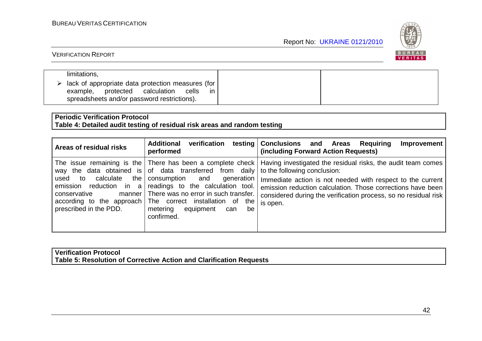

# VERIFICATION REPORT

| limitations,                                                                                                                                      |  |
|---------------------------------------------------------------------------------------------------------------------------------------------------|--|
| lack of appropriate data protection measures (for<br>protected calculation cells<br>example,<br>in<br>spreadsheets and/or password restrictions). |  |

#### **Periodic Verification Protocol Table 4: Detailed audit testing of residual risk areas and random testing**

| Areas of residual risks                                                                          | <b>Additional</b><br>verification<br>performed                                                                                                                                                                                                                                                                             | testing   Conclusions and Areas<br>Improvement<br>Requiring<br>(including Forward Action Requests)                                                                                                                                                                                                                                  |
|--------------------------------------------------------------------------------------------------|----------------------------------------------------------------------------------------------------------------------------------------------------------------------------------------------------------------------------------------------------------------------------------------------------------------------------|-------------------------------------------------------------------------------------------------------------------------------------------------------------------------------------------------------------------------------------------------------------------------------------------------------------------------------------|
| calculate<br>the<br>used to<br>emission reduction in a<br>conservative<br>prescribed in the PDD. | way the data obtained is   of data transferred from daily   to the following conclusion:<br>consumption and generation<br>readings to the calculation tool.<br>manner   There was no error in such transfer.<br>according to the approach The correct installation of the<br>metering equipment<br>can<br>be<br>confirmed. | The issue remaining is the There has been a complete check Having investigated the residual risks, the audit team comes<br>Immediate action is not needed with respect to the current<br>emission reduction calculation. Those corrections have been<br>considered during the verification process, so no residual risk<br>is open. |

**Verification Protocol Table 5: Resolution of Corrective Action and Clarification Requests**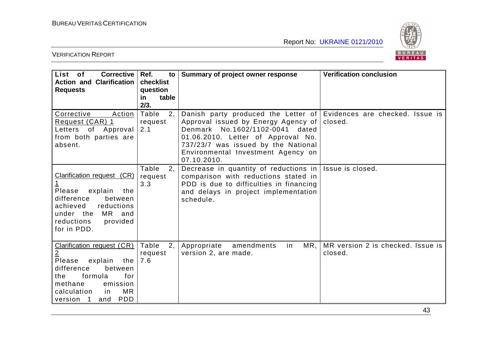

| List of<br><b>Corrective</b><br><b>Action and Clarification</b><br><b>Requests</b>                                                                                                                                     | Ref.<br>to<br>checklist<br>question<br>table<br>in<br>2/3. | Summary of project owner response                                                                                                                                                                                                                                                  | <b>Verification conclusion</b>               |
|------------------------------------------------------------------------------------------------------------------------------------------------------------------------------------------------------------------------|------------------------------------------------------------|------------------------------------------------------------------------------------------------------------------------------------------------------------------------------------------------------------------------------------------------------------------------------------|----------------------------------------------|
| Corrective<br>Action<br>Request (CAR) 1<br>Letters of Approval<br>from both parties are<br>absent.                                                                                                                     | Table<br>2 <sub>1</sub><br>request<br>2.1                  | Danish party produced the Letter of Evidences are checked. Issue is<br>Approval issued by Energy Agency of<br>Denmark No.1602/1102-0041<br>dated<br>01.06.2010. Letter of Approval No.<br>737/23/7 was issued by the National<br>Environmental Investment Agency on<br>07.10.2010. | closed.                                      |
| Clarification request (CR)<br>Please explain<br>the<br>difference<br>between<br>achieved<br>reductions<br>MR and<br>under the<br>reductions<br>provided<br>for in PDD.                                                 | Table<br>2,<br>request<br>3.3                              | Decrease in quantity of reductions in Issue is closed.<br>comparison with reductions stated in<br>PDD is due to difficulties in financing<br>and delays in project implementation<br>schedule.                                                                                     |                                              |
| <b>Clarification request (CR)</b><br>$\overline{2}$<br>Please<br>explain<br>the<br>difference<br>between<br>formula<br>for<br>the<br>methane<br>emission<br><b>MR</b><br>calculation<br>in.<br>PDD<br>version 1<br>and | Table<br>2,<br>request<br>7.6                              | Appropriate<br>MR.<br>amendments<br>in<br>version 2, are made.                                                                                                                                                                                                                     | MR version 2 is checked. Issue is<br>closed. |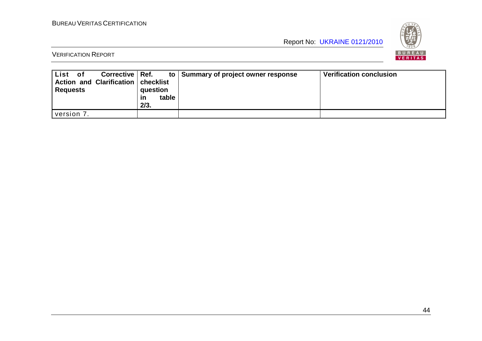

| List<br>Corrective   Ref.<br>of<br>Action and Clarification   checklist<br><b>Requests</b> | question<br>table<br>ın<br>2/3. | to Summary of project owner response | <b>Verification conclusion</b> |
|--------------------------------------------------------------------------------------------|---------------------------------|--------------------------------------|--------------------------------|
| $\vert$ version 7.                                                                         |                                 |                                      |                                |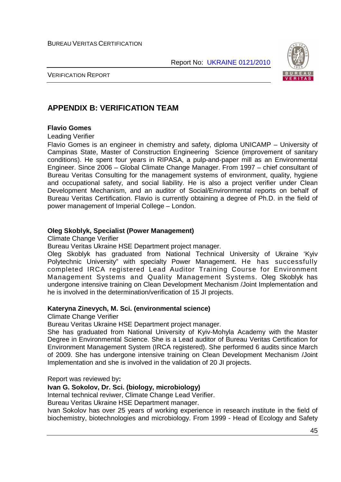

VERIFICATION REPORT

# **APPENDIX B: VERIFICATION TEAM**

#### **Flavio Gomes**

Leading Verifier

Flavio Gomes is an engineer in chemistry and safety, diploma UNICAMP – University of Campinas State, Master of Construction Engineering Science (improvement of sanitary conditions). He spent four years in RIPASA, a pulp-and-paper mill as an Environmental Engineer. Since 2006 – Global Climate Change Manager. From 1997 – chief consultant of Bureau Veritas Consulting for the management systems of environment, quality, hygiene and occupational safety, and social liability. He is also a project verifier under Clean Development Mechanism, and an auditor of Social/Environmental reports on behalf of Bureau Veritas Certification. Flavio is currently obtaining a degree of Ph.D. in the field of power management of Imperial College – London.

#### **Oleg Skoblyk, Specialist (Power Management)**

Climate Change Verifier

Bureau Veritas Ukraine HSE Department project manager.

Oleg Skoblyk has graduated from National Technical University of Ukraine 'Kyiv Polytechnic University" with specialty Power Management. He has successfully completed IRCA registered Lead Auditor Training Course for Environment Management Systems and Quality Management Systems. Oleg Skoblyk has undergone intensive training on Clean Development Mechanism /Joint Implementation and he is involved in the determination/verification of 15 JI projects.

#### **Kateryna Zinevych, M. Sci. (environmental science)**

Climate Change Verifier

Bureau Veritas Ukraine HSE Department project manager.

She has graduated from National University of Kyiv-Mohyla Academy with the Master Degree in Environmental Science. She is a Lead auditor of Bureau Veritas Certification for Environment Management System (IRCA registered). She performed 6 audits since March of 2009. She has undergone intensive training on Clean Development Mechanism /Joint Implementation and she is involved in the validation of 20 JI projects.

Report was reviewed by**:** 

#### **Ivan G. Sokolov, Dr. Sci. (biology, microbiology)**

Internal technical reviwer, Climate Change Lead Verifier.

Bureau Veritas Ukraine HSE Department manager.

Ivan Sokolov has over 25 years of working experience in research institute in the field of biochemistry, biotechnologies and microbiology. From 1999 - Head of Ecology and Safety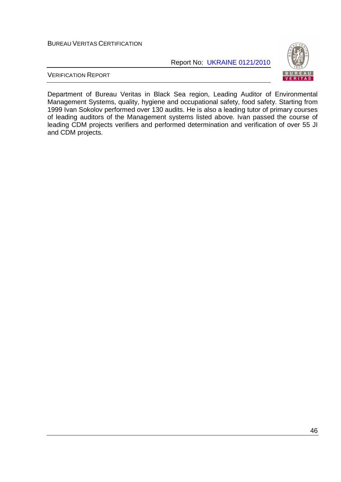Report No: UKRAINE 0121/2010



VERIFICATION REPORT

Department of Bureau Veritas in Black Sea region, Leading Auditor of Environmental Management Systems, quality, hygiene and occupational safety, food safety. Starting from 1999 Ivan Sokolov performed over 130 audits. He is also a leading tutor of primary courses of leading auditors of the Management systems listed above. Ivan passed the course of leading CDM projects verifiers and performed determination and verification of over 55 JI and CDM projects.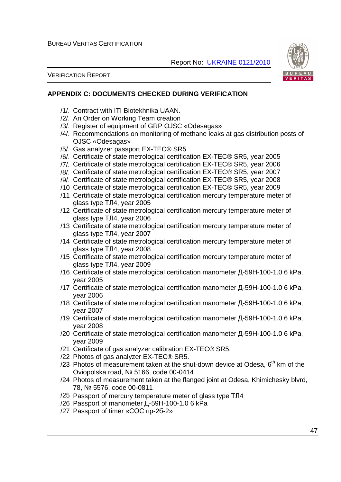

VERIFICATION REPORT

# **APPENDIX C: DOCUMENTS CHECKED DURING VERIFICATION**

- /1/. Contract with ITI Biotekhnika UAAN.
- /2/. An Order on Working Team creation
- /3/. Register of equipment of GRP OJSC «Odesagas»
- /4/. Recommendations on monitoring of methane leaks at gas distribution posts of OJSC «Odesagas»
- /5/. Gas analyzer passport EX-TEC® SR5
- /6/. Certificate of state metrological certification EX-TEC® SR5, year 2005
- /7/. Certificate of state metrological certification EX-TEC® SR5, year 2006
- /8/. Certificate of state metrological certification EX-TEC® SR5, year 2007
- /9/. Certificate of state metrological certification EX-TEC® SR5, year 2008
- /10/.Certificate of state metrological certification EX-TEC® SR5, year 2009
- /11/.Certificate of state metrological certification mercury temperature meter of glass type ТЛ4, year 2005
- /12/.Certificate of state metrological certification mercury temperature meter of glass type ТЛ4, year 2006
- /13/.Certificate of state metrological certification mercury temperature meter of glass type ТЛ4, year 2007
- /14/.Certificate of state metrological certification mercury temperature meter of glass type ТЛ4, year 2008
- /15/.Certificate of state metrological certification mercury temperature meter of glass type ТЛ4, year 2009
- /16/.Certificate of state metrological certification manometer Д-59Н-100-1.0 6 kPа, year 2005
- /17/.Certificate of state metrological certification manometer Д-59Н-100-1.0 6 kPа, year 2006
- /18/.Certificate of state metrological certification manometer Д-59Н-100-1.0 6 kPа, year 2007
- /19/.Certificate of state metrological certification manometer Д-59Н-100-1.0 6 kPа, year 2008
- /20/.Certificate of state metrological certification manometer Д-59Н-100-1.0 6 kPа, year 2009
- /21/.Certificate of gas analyzer calibration EX-TEC® SR5.
- /22/.Photos of gas analyzer EX-TEC® SR5.
- /23. Photos of measurement taken at the shut-down device at Odesa,  $6<sup>th</sup>$  km of the Oviopolska road, № 5166, code 00-0414
- /24/.Photos of measurement taken at the flanged joint at Odesa, Khimichesky blvrd, 78, № 5576, code 00-0811
- /25/.Passport of mercury temperature meter of glass type ТЛ4
- /26/.Passport of manometer Д-59Н-100-1.0 6 kPa
- /27/.Passport of timer «СОС пр-2б-2»